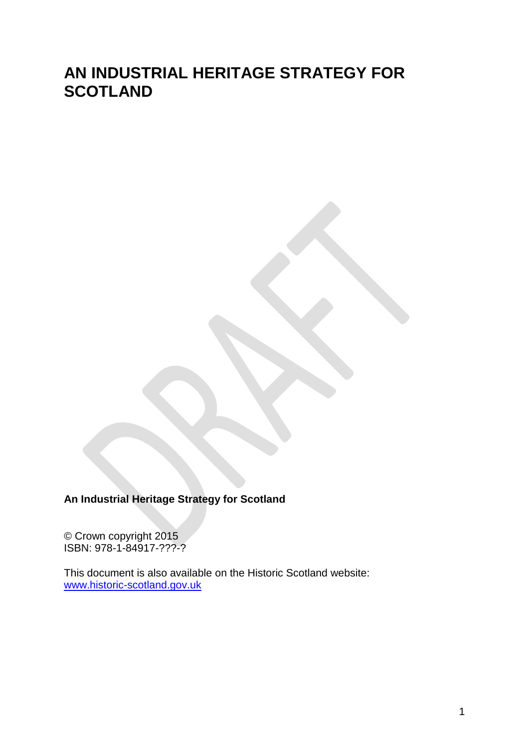# **AN INDUSTRIAL HERITAGE STRATEGY FOR SCOTLAND**

**An Industrial Heritage Strategy for Scotland**

© Crown copyright 2015 ISBN: 978-1-84917-???-?

This document is also available on the Historic Scotland website: [www.historic-scotland.gov.uk](http://www.historic-scotland.gov.uk/)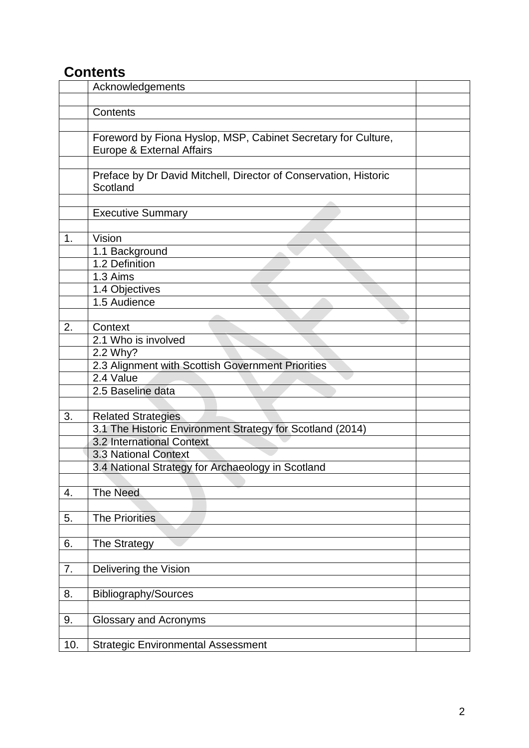# **Contents**

|     | Acknowledgements                                                                           |  |
|-----|--------------------------------------------------------------------------------------------|--|
|     |                                                                                            |  |
|     | Contents                                                                                   |  |
|     |                                                                                            |  |
|     | Foreword by Fiona Hyslop, MSP, Cabinet Secretary for Culture,<br>Europe & External Affairs |  |
|     |                                                                                            |  |
|     | Preface by Dr David Mitchell, Director of Conservation, Historic<br>Scotland               |  |
|     |                                                                                            |  |
|     | <b>Executive Summary</b>                                                                   |  |
|     |                                                                                            |  |
| 1.  | Vision                                                                                     |  |
|     | 1.1 Background                                                                             |  |
|     | 1.2 Definition                                                                             |  |
|     | 1.3 Aims                                                                                   |  |
|     | 1.4 Objectives                                                                             |  |
|     | 1.5 Audience                                                                               |  |
|     |                                                                                            |  |
| 2.  | Context                                                                                    |  |
|     | 2.1 Who is involved                                                                        |  |
|     | 2.2 Why?                                                                                   |  |
|     | 2.3 Alignment with Scottish Government Priorities                                          |  |
|     | 2.4 Value                                                                                  |  |
|     | 2.5 Baseline data                                                                          |  |
|     |                                                                                            |  |
| 3.  | <b>Related Strategies</b>                                                                  |  |
|     | 3.1 The Historic Environment Strategy for Scotland (2014)                                  |  |
|     | 3.2 International Context                                                                  |  |
|     | 3.3 National Context                                                                       |  |
|     | 3.4 National Strategy for Archaeology in Scotland                                          |  |
|     |                                                                                            |  |
| 4.  | <b>The Need</b>                                                                            |  |
|     |                                                                                            |  |
| 5.  | <b>The Priorities</b>                                                                      |  |
|     |                                                                                            |  |
| 6.  | The Strategy                                                                               |  |
|     |                                                                                            |  |
| 7.  | Delivering the Vision                                                                      |  |
|     |                                                                                            |  |
| 8.  | <b>Bibliography/Sources</b>                                                                |  |
|     |                                                                                            |  |
| 9.  | <b>Glossary and Acronyms</b>                                                               |  |
|     |                                                                                            |  |
| 10. | <b>Strategic Environmental Assessment</b>                                                  |  |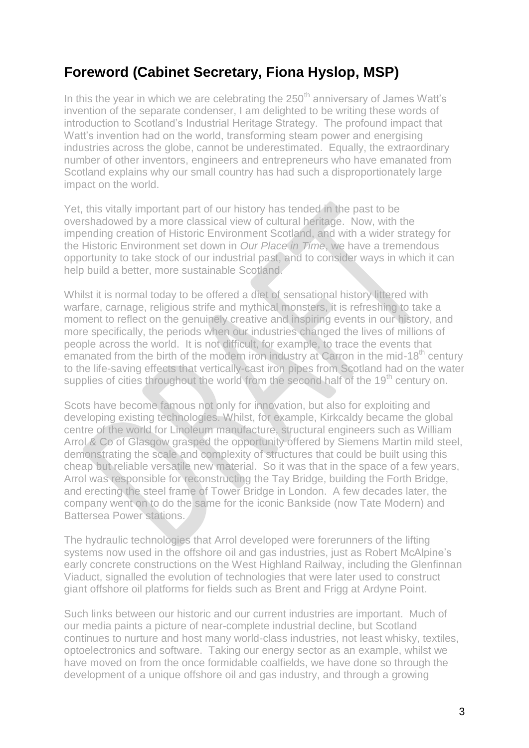# **Foreword (Cabinet Secretary, Fiona Hyslop, MSP)**

In this the year in which we are celebrating the  $250<sup>th</sup>$  anniversary of James Watt's invention of the separate condenser, I am delighted to be writing these words of introduction to Scotland's Industrial Heritage Strategy. The profound impact that Watt's invention had on the world, transforming steam power and energising industries across the globe, cannot be underestimated. Equally, the extraordinary number of other inventors, engineers and entrepreneurs who have emanated from Scotland explains why our small country has had such a disproportionately large impact on the world.

Yet, this vitally important part of our history has tended in the past to be overshadowed by a more classical view of cultural heritage. Now, with the impending creation of Historic Environment Scotland, and with a wider strategy for the Historic Environment set down in *Our Place in Time*, we have a tremendous opportunity to take stock of our industrial past, and to consider ways in which it can help build a better, more sustainable Scotland.

Whilst it is normal today to be offered a diet of sensational history littered with warfare, carnage, religious strife and mythical monsters, it is refreshing to take a moment to reflect on the genuinely creative and inspiring events in our history, and more specifically, the periods when our industries changed the lives of millions of people across the world. It is not difficult, for example, to trace the events that emanated from the birth of the modern iron industry at Carron in the mid-18<sup>th</sup> century to the life-saving effects that vertically-cast iron pipes from Scotland had on the water supplies of cities throughout the world from the second half of the 19<sup>th</sup> century on.

Scots have become famous not only for innovation, but also for exploiting and developing existing technologies. Whilst, for example, Kirkcaldy became the global centre of the world for Linoleum manufacture, structural engineers such as William Arrol & Co of Glasgow grasped the opportunity offered by Siemens Martin mild steel, demonstrating the scale and complexity of structures that could be built using this cheap but reliable versatile new material. So it was that in the space of a few years, Arrol was responsible for reconstructing the Tay Bridge, building the Forth Bridge, and erecting the steel frame of Tower Bridge in London. A few decades later, the company went on to do the same for the iconic Bankside (now Tate Modern) and Battersea Power stations.

The hydraulic technologies that Arrol developed were forerunners of the lifting systems now used in the offshore oil and gas industries, just as Robert McAlpine's early concrete constructions on the West Highland Railway, including the Glenfinnan Viaduct, signalled the evolution of technologies that were later used to construct giant offshore oil platforms for fields such as Brent and Frigg at Ardyne Point.

Such links between our historic and our current industries are important. Much of our media paints a picture of near-complete industrial decline, but Scotland continues to nurture and host many world-class industries, not least whisky, textiles, optoelectronics and software. Taking our energy sector as an example, whilst we have moved on from the once formidable coalfields, we have done so through the development of a unique offshore oil and gas industry, and through a growing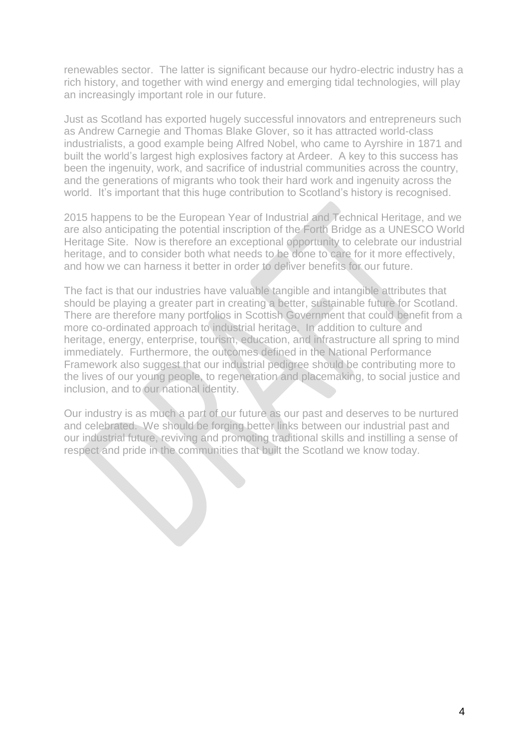renewables sector. The latter is significant because our hydro-electric industry has a rich history, and together with wind energy and emerging tidal technologies, will play an increasingly important role in our future.

Just as Scotland has exported hugely successful innovators and entrepreneurs such as Andrew Carnegie and Thomas Blake Glover, so it has attracted world-class industrialists, a good example being Alfred Nobel, who came to Ayrshire in 1871 and built the world's largest high explosives factory at Ardeer. A key to this success has been the ingenuity, work, and sacrifice of industrial communities across the country, and the generations of migrants who took their hard work and ingenuity across the world. It's important that this huge contribution to Scotland's history is recognised.

2015 happens to be the European Year of Industrial and Technical Heritage, and we are also anticipating the potential inscription of the Forth Bridge as a UNESCO World Heritage Site. Now is therefore an exceptional opportunity to celebrate our industrial heritage, and to consider both what needs to be done to care for it more effectively, and how we can harness it better in order to deliver benefits for our future.

The fact is that our industries have valuable tangible and intangible attributes that should be playing a greater part in creating a better, sustainable future for Scotland. There are therefore many portfolios in Scottish Government that could benefit from a more co-ordinated approach to industrial heritage. In addition to culture and heritage, energy, enterprise, tourism, education, and infrastructure all spring to mind immediately. Furthermore, the outcomes defined in the National Performance Framework also suggest that our industrial pedigree should be contributing more to the lives of our young people, to regeneration and placemaking, to social justice and inclusion, and to our national identity.

Our industry is as much a part of our future as our past and deserves to be nurtured and celebrated. We should be forging better links between our industrial past and our industrial future, reviving and promoting traditional skills and instilling a sense of respect and pride in the communities that built the Scotland we know today.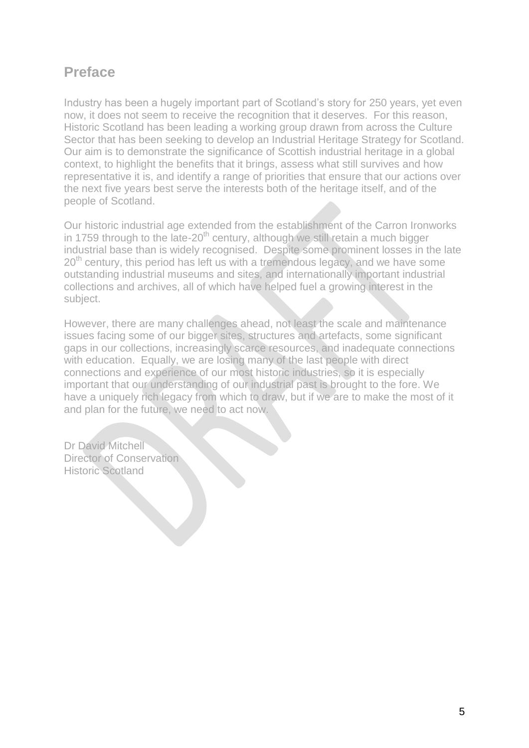# **Preface**

Industry has been a hugely important part of Scotland's story for 250 years, yet even now, it does not seem to receive the recognition that it deserves. For this reason, Historic Scotland has been leading a working group drawn from across the Culture Sector that has been seeking to develop an Industrial Heritage Strategy for Scotland. Our aim is to demonstrate the significance of Scottish industrial heritage in a global context, to highlight the benefits that it brings, assess what still survives and how representative it is, and identify a range of priorities that ensure that our actions over the next five years best serve the interests both of the heritage itself, and of the people of Scotland.

Our historic industrial age extended from the establishment of the Carron Ironworks in 1759 through to the late-20<sup>th</sup> century, although we still retain a much bigger industrial base than is widely recognised. Despite some prominent losses in the late 20<sup>th</sup> century, this period has left us with a tremendous legacy, and we have some outstanding industrial museums and sites, and internationally important industrial collections and archives, all of which have helped fuel a growing interest in the subject.

However, there are many challenges ahead, not least the scale and maintenance issues facing some of our bigger sites, structures and artefacts, some significant gaps in our collections, increasingly scarce resources, and inadequate connections with education. Equally, we are losing many of the last people with direct connections and experience of our most historic industries, so it is especially important that our understanding of our industrial past is brought to the fore. We have a uniquely rich legacy from which to draw, but if we are to make the most of it and plan for the future, we need to act now.

Dr David Mitchell Director of Conservation Historic Scotland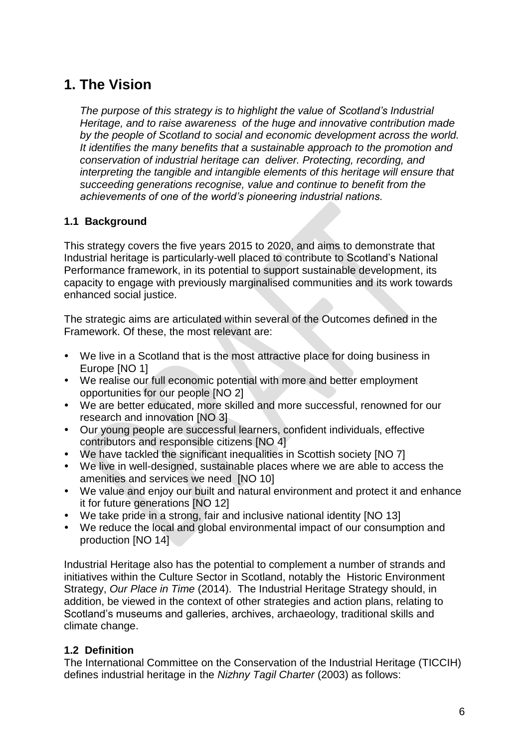# **1. The Vision**

*The purpose of this strategy is to highlight the value of Scotland's Industrial Heritage, and to raise awareness of the huge and innovative contribution made by the people of Scotland to social and economic development across the world. It identifies the many benefits that a sustainable approach to the promotion and conservation of industrial heritage can deliver. Protecting, recording, and interpreting the tangible and intangible elements of this heritage will ensure that succeeding generations recognise, value and continue to benefit from the achievements of one of the world's pioneering industrial nations.*

### **1.1 Background**

This strategy covers the five years 2015 to 2020, and aims to demonstrate that Industrial heritage is particularly-well placed to contribute to Scotland's National Performance framework, in its potential to support sustainable development, its capacity to engage with previously marginalised communities and its work towards enhanced social justice.

The strategic aims are articulated within several of the Outcomes defined in the Framework. Of these, the most relevant are:

- We live in a Scotland that is the most attractive place for doing business in Europe [NO 1]
- We realise our full economic potential with more and better employment opportunities for our people [NO 2]
- We are better educated, more skilled and more successful, renowned for our research and innovation [NO 3]
- Our young people are successful learners, confident individuals, effective contributors and responsible citizens [NO 4]
- We have tackled the significant inequalities in Scottish society [NO 7]
- We live in well-designed, sustainable places where we are able to access the amenities and services we need [NO 10]
- We value and enjoy our built and natural environment and protect it and enhance it for future generations [NO 12]
- We take pride in a strong, fair and inclusive national identity [NO 13]
- We reduce the local and global environmental impact of our consumption and production [NO 14]

Industrial Heritage also has the potential to complement a number of strands and initiatives within the Culture Sector in Scotland, notably the Historic Environment Strategy, *Our Place in Time* (2014). The Industrial Heritage Strategy should, in addition, be viewed in the context of other strategies and action plans, relating to Scotland's museums and galleries, archives, archaeology, traditional skills and climate change.

## **1.2 Definition**

The International Committee on the Conservation of the Industrial Heritage (TICCIH) defines industrial heritage in the *Nizhny Tagil Charter* (2003) as follows: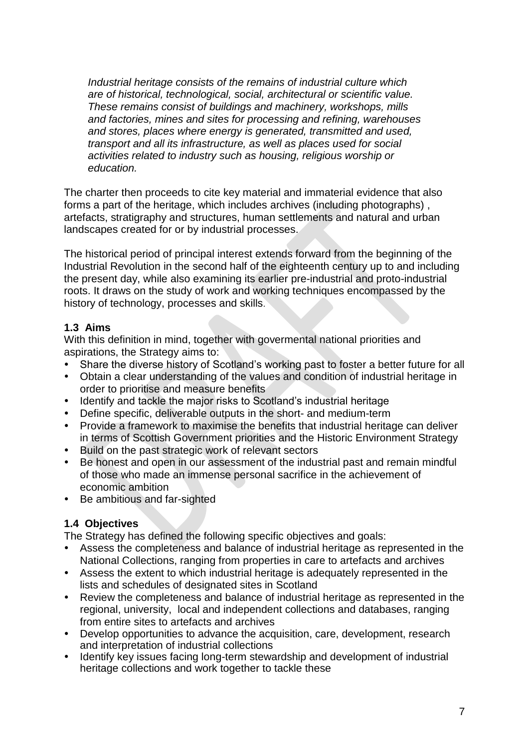*Industrial heritage consists of the remains of industrial culture which are of historical, technological, social, architectural or scientific value. These remains consist of buildings and machinery, workshops, mills and factories, mines and sites for processing and refining, warehouses and stores, places where energy is generated, transmitted and used, transport and all its infrastructure, as well as places used for social activities related to industry such as housing, religious worship or education.* 

The charter then proceeds to cite key material and immaterial evidence that also forms a part of the heritage, which includes archives (including photographs) , artefacts, stratigraphy and structures, human settlements and natural and urban landscapes created for or by industrial processes.

The historical period of principal interest extends forward from the beginning of the Industrial Revolution in the second half of the eighteenth century up to and including the present day, while also examining its earlier pre-industrial and proto-industrial roots. It draws on the study of work and working techniques encompassed by the history of technology, processes and skills.

### **1.3 Aims**

With this definition in mind, together with govermental national priorities and aspirations, the Strategy aims to:

- Share the diverse history of Scotland's working past to foster a better future for all
- Obtain a clear understanding of the values and condition of industrial heritage in order to prioritise and measure benefits
- Identify and tackle the major risks to Scotland's industrial heritage
- Define specific, deliverable outputs in the short- and medium-term
- Provide a framework to maximise the benefits that industrial heritage can deliver in terms of Scottish Government priorities and the Historic Environment Strategy
- Build on the past strategic work of relevant sectors
- Be honest and open in our assessment of the industrial past and remain mindful of those who made an immense personal sacrifice in the achievement of economic ambition
- Be ambitious and far-sighted

### **1.4 Objectives**

The Strategy has defined the following specific objectives and goals:

- Assess the completeness and balance of industrial heritage as represented in the National Collections, ranging from properties in care to artefacts and archives
- Assess the extent to which industrial heritage is adequately represented in the lists and schedules of designated sites in Scotland
- Review the completeness and balance of industrial heritage as represented in the regional, university, local and independent collections and databases, ranging from entire sites to artefacts and archives
- Develop opportunities to advance the acquisition, care, development, research and interpretation of industrial collections
- Identify key issues facing long-term stewardship and development of industrial heritage collections and work together to tackle these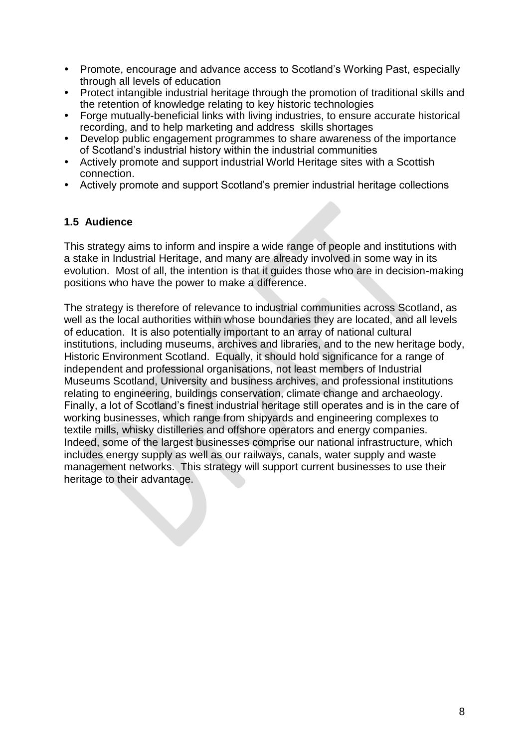- Promote, encourage and advance access to Scotland's Working Past, especially through all levels of education
- Protect intangible industrial heritage through the promotion of traditional skills and the retention of knowledge relating to key historic technologies
- Forge mutually-beneficial links with living industries, to ensure accurate historical recording, and to help marketing and address skills shortages
- Develop public engagement programmes to share awareness of the importance of Scotland's industrial history within the industrial communities
- Actively promote and support industrial World Heritage sites with a Scottish connection.
- Actively promote and support Scotland's premier industrial heritage collections

### **1.5 Audience**

This strategy aims to inform and inspire a wide range of people and institutions with a stake in Industrial Heritage, and many are already involved in some way in its evolution. Most of all, the intention is that it guides those who are in decision-making positions who have the power to make a difference.

The strategy is therefore of relevance to industrial communities across Scotland, as well as the local authorities within whose boundaries they are located, and all levels of education. It is also potentially important to an array of national cultural institutions, including museums, archives and libraries, and to the new heritage body, Historic Environment Scotland. Equally, it should hold significance for a range of independent and professional organisations, not least members of Industrial Museums Scotland, University and business archives, and professional institutions relating to engineering, buildings conservation, climate change and archaeology. Finally, a lot of Scotland's finest industrial heritage still operates and is in the care of working businesses, which range from shipyards and engineering complexes to textile mills, whisky distilleries and offshore operators and energy companies. Indeed, some of the largest businesses comprise our national infrastructure, which includes energy supply as well as our railways, canals, water supply and waste management networks. This strategy will support current businesses to use their heritage to their advantage.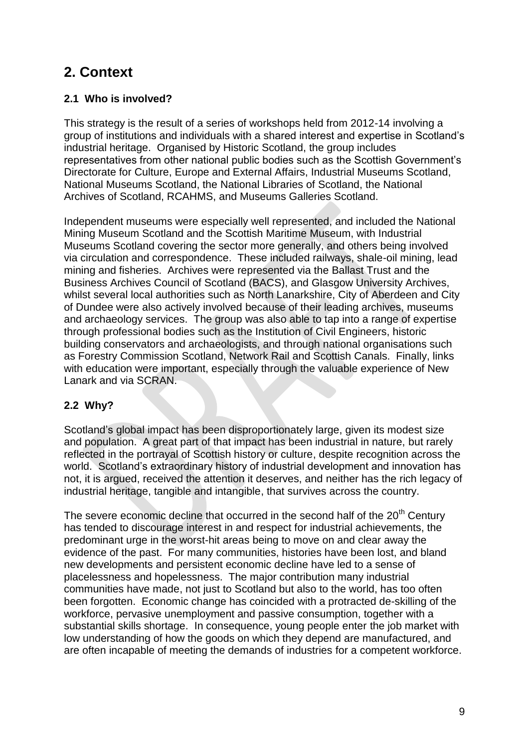# **2. Context**

## **2.1 Who is involved?**

This strategy is the result of a series of workshops held from 2012-14 involving a group of institutions and individuals with a shared interest and expertise in Scotland's industrial heritage. Organised by Historic Scotland, the group includes representatives from other national public bodies such as the Scottish Government's Directorate for Culture, Europe and External Affairs, Industrial Museums Scotland, National Museums Scotland, the National Libraries of Scotland, the National Archives of Scotland, RCAHMS, and Museums Galleries Scotland.

Independent museums were especially well represented, and included the National Mining Museum Scotland and the Scottish Maritime Museum, with Industrial Museums Scotland covering the sector more generally, and others being involved via circulation and correspondence. These included railways, shale-oil mining, lead mining and fisheries. Archives were represented via the Ballast Trust and the Business Archives Council of Scotland (BACS), and Glasgow University Archives, whilst several local authorities such as North Lanarkshire, City of Aberdeen and City of Dundee were also actively involved because of their leading archives, museums and archaeology services. The group was also able to tap into a range of expertise through professional bodies such as the Institution of Civil Engineers, historic building conservators and archaeologists, and through national organisations such as Forestry Commission Scotland, Network Rail and Scottish Canals. Finally, links with education were important, especially through the valuable experience of New Lanark and via SCRAN.

## **2.2 Why?**

Scotland's global impact has been disproportionately large, given its modest size and population. A great part of that impact has been industrial in nature, but rarely reflected in the portrayal of Scottish history or culture, despite recognition across the world. Scotland's extraordinary history of industrial development and innovation has not, it is argued, received the attention it deserves, and neither has the rich legacy of industrial heritage, tangible and intangible, that survives across the country.

The severe economic decline that occurred in the second half of the  $20<sup>th</sup>$  Century has tended to discourage interest in and respect for industrial achievements, the predominant urge in the worst-hit areas being to move on and clear away the evidence of the past. For many communities, histories have been lost, and bland new developments and persistent economic decline have led to a sense of placelessness and hopelessness. The major contribution many industrial communities have made, not just to Scotland but also to the world, has too often been forgotten. Economic change has coincided with a protracted de-skilling of the workforce, pervasive unemployment and passive consumption, together with a substantial skills shortage. In consequence, young people enter the job market with low understanding of how the goods on which they depend are manufactured, and are often incapable of meeting the demands of industries for a competent workforce.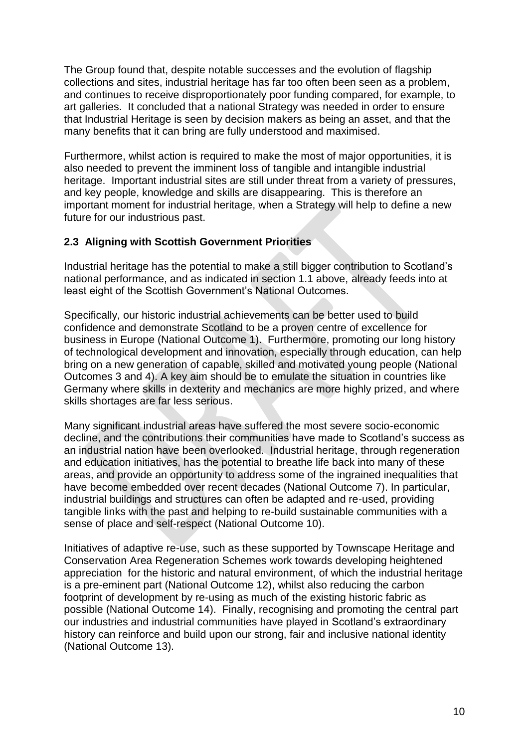The Group found that, despite notable successes and the evolution of flagship collections and sites, industrial heritage has far too often been seen as a problem, and continues to receive disproportionately poor funding compared, for example, to art galleries. It concluded that a national Strategy was needed in order to ensure that Industrial Heritage is seen by decision makers as being an asset, and that the many benefits that it can bring are fully understood and maximised.

Furthermore, whilst action is required to make the most of major opportunities, it is also needed to prevent the imminent loss of tangible and intangible industrial heritage. Important industrial sites are still under threat from a variety of pressures, and key people, knowledge and skills are disappearing. This is therefore an important moment for industrial heritage, when a Strategy will help to define a new future for our industrious past.

### **2.3 Aligning with Scottish Government Priorities**

Industrial heritage has the potential to make a still bigger contribution to Scotland's national performance, and as indicated in section 1.1 above, already feeds into at least eight of the Scottish Government's National Outcomes.

Specifically, our historic industrial achievements can be better used to build confidence and demonstrate Scotland to be a proven centre of excellence for business in Europe (National Outcome 1). Furthermore, promoting our long history of technological development and innovation, especially through education, can help bring on a new generation of capable, skilled and motivated young people (National Outcomes 3 and 4). A key aim should be to emulate the situation in countries like Germany where skills in dexterity and mechanics are more highly prized, and where skills shortages are far less serious.

Many significant industrial areas have suffered the most severe socio-economic decline, and the contributions their communities have made to Scotland's success as an industrial nation have been overlooked. Industrial heritage, through regeneration and education initiatives, has the potential to breathe life back into many of these areas, and provide an opportunity to address some of the ingrained inequalities that have become embedded over recent decades (National Outcome 7). In particular, industrial buildings and structures can often be adapted and re-used, providing tangible links with the past and helping to re-build sustainable communities with a sense of place and self-respect (National Outcome 10).

Initiatives of adaptive re-use, such as these supported by Townscape Heritage and Conservation Area Regeneration Schemes work towards developing heightened appreciation for the historic and natural environment, of which the industrial heritage is a pre-eminent part (National Outcome 12), whilst also reducing the carbon footprint of development by re-using as much of the existing historic fabric as possible (National Outcome 14). Finally, recognising and promoting the central part our industries and industrial communities have played in Scotland's extraordinary history can reinforce and build upon our strong, fair and inclusive national identity (National Outcome 13).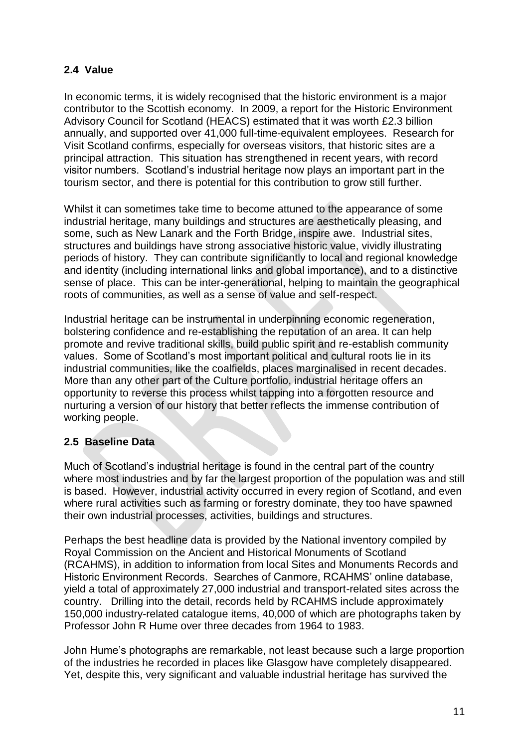## **2.4 Value**

In economic terms, it is widely recognised that the historic environment is a major contributor to the Scottish economy. In 2009, a report for the Historic Environment Advisory Council for Scotland (HEACS) estimated that it was worth £2.3 billion annually, and supported over 41,000 full-time-equivalent employees. Research for Visit Scotland confirms, especially for overseas visitors, that historic sites are a principal attraction. This situation has strengthened in recent years, with record visitor numbers. Scotland's industrial heritage now plays an important part in the tourism sector, and there is potential for this contribution to grow still further.

Whilst it can sometimes take time to become attuned to the appearance of some industrial heritage, many buildings and structures are aesthetically pleasing, and some, such as New Lanark and the Forth Bridge, inspire awe. Industrial sites, structures and buildings have strong associative historic value, vividly illustrating periods of history. They can contribute significantly to local and regional knowledge and identity (including international links and global importance), and to a distinctive sense of place. This can be inter-generational, helping to maintain the geographical roots of communities, as well as a sense of value and self-respect.

Industrial heritage can be instrumental in underpinning economic regeneration, bolstering confidence and re-establishing the reputation of an area. It can help promote and revive traditional skills, build public spirit and re-establish community values. Some of Scotland's most important political and cultural roots lie in its industrial communities, like the coalfields, places marginalised in recent decades. More than any other part of the Culture portfolio, industrial heritage offers an opportunity to reverse this process whilst tapping into a forgotten resource and nurturing a version of our history that better reflects the immense contribution of working people.

## **2.5 Baseline Data**

Much of Scotland's industrial heritage is found in the central part of the country where most industries and by far the largest proportion of the population was and still is based. However, industrial activity occurred in every region of Scotland, and even where rural activities such as farming or forestry dominate, they too have spawned their own industrial processes, activities, buildings and structures.

Perhaps the best headline data is provided by the National inventory compiled by Royal Commission on the Ancient and Historical Monuments of Scotland (RCAHMS), in addition to information from local Sites and Monuments Records and Historic Environment Records. Searches of Canmore, RCAHMS' online database, yield a total of approximately 27,000 industrial and transport-related sites across the country. Drilling into the detail, records held by RCAHMS include approximately 150,000 industry-related catalogue items, 40,000 of which are photographs taken by Professor John R Hume over three decades from 1964 to 1983.

John Hume's photographs are remarkable, not least because such a large proportion of the industries he recorded in places like Glasgow have completely disappeared. Yet, despite this, very significant and valuable industrial heritage has survived the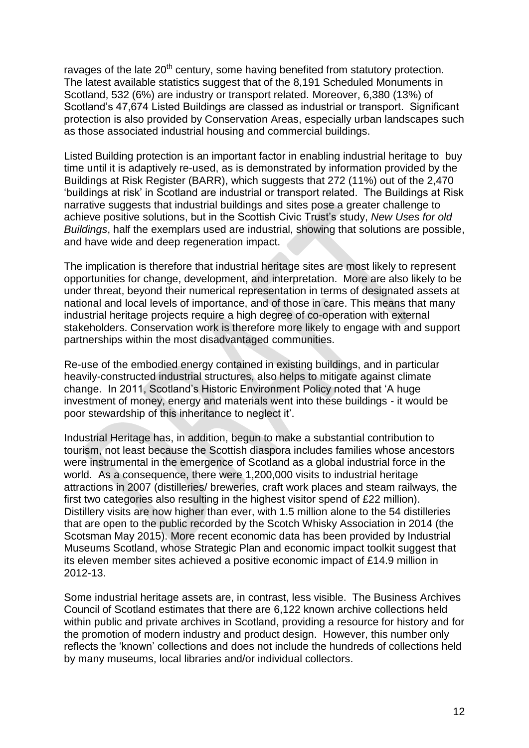ravages of the late  $20<sup>th</sup>$  century, some having benefited from statutory protection. The latest available statistics suggest that of the 8,191 Scheduled Monuments in Scotland, 532 (6%) are industry or transport related. Moreover, 6,380 (13%) of Scotland's 47,674 Listed Buildings are classed as industrial or transport. Significant protection is also provided by Conservation Areas, especially urban landscapes such as those associated industrial housing and commercial buildings.

Listed Building protection is an important factor in enabling industrial heritage to buy time until it is adaptively re-used, as is demonstrated by information provided by the Buildings at Risk Register (BARR), which suggests that 272 (11%) out of the 2,470 'buildings at risk' in Scotland are industrial or transport related. The Buildings at Risk narrative suggests that industrial buildings and sites pose a greater challenge to achieve positive solutions, but in the Scottish Civic Trust's study, *New Uses for old Buildings*, half the exemplars used are industrial, showing that solutions are possible, and have wide and deep regeneration impact.

The implication is therefore that industrial heritage sites are most likely to represent opportunities for change, development, and interpretation. More are also likely to be under threat, beyond their numerical representation in terms of designated assets at national and local levels of importance, and of those in care. This means that many industrial heritage projects require a high degree of co-operation with external stakeholders. Conservation work is therefore more likely to engage with and support partnerships within the most disadvantaged communities.

Re-use of the embodied energy contained in existing buildings, and in particular heavily-constructed industrial structures, also helps to mitigate against climate change. In 2011, Scotland's Historic Environment Policy noted that 'A huge investment of money, energy and materials went into these buildings - it would be poor stewardship of this inheritance to neglect it'.

Industrial Heritage has, in addition, begun to make a substantial contribution to tourism, not least because the Scottish diaspora includes families whose ancestors were instrumental in the emergence of Scotland as a global industrial force in the world. As a consequence, there were 1,200,000 visits to industrial heritage attractions in 2007 (distilleries/ breweries, craft work places and steam railways, the first two categories also resulting in the highest visitor spend of £22 million). Distillery visits are now higher than ever, with 1.5 million alone to the 54 distilleries that are open to the public recorded by the Scotch Whisky Association in 2014 (the Scotsman May 2015). More recent economic data has been provided by Industrial Museums Scotland, whose Strategic Plan and economic impact toolkit suggest that its eleven member sites achieved a positive economic impact of £14.9 million in 2012-13.

Some industrial heritage assets are, in contrast, less visible. The Business Archives Council of Scotland estimates that there are 6,122 known archive collections held within public and private archives in Scotland, providing a resource for history and for the promotion of modern industry and product design. However, this number only reflects the 'known' collections and does not include the hundreds of collections held by many museums, local libraries and/or individual collectors.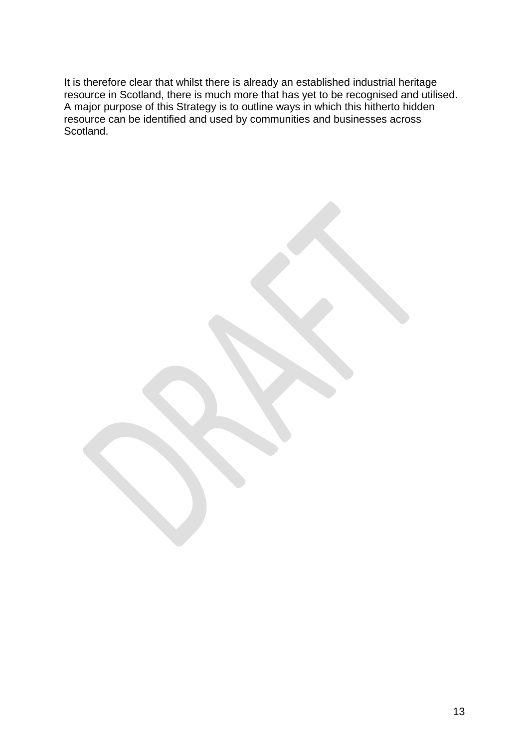It is therefore clear that whilst there is already an established industrial heritage resource in Scotland, there is much more that has yet to be recognised and utilised. A major purpose of this Strategy is to outline ways in which this hitherto hidden resource can be identified and used by communities and businesses across Scotland.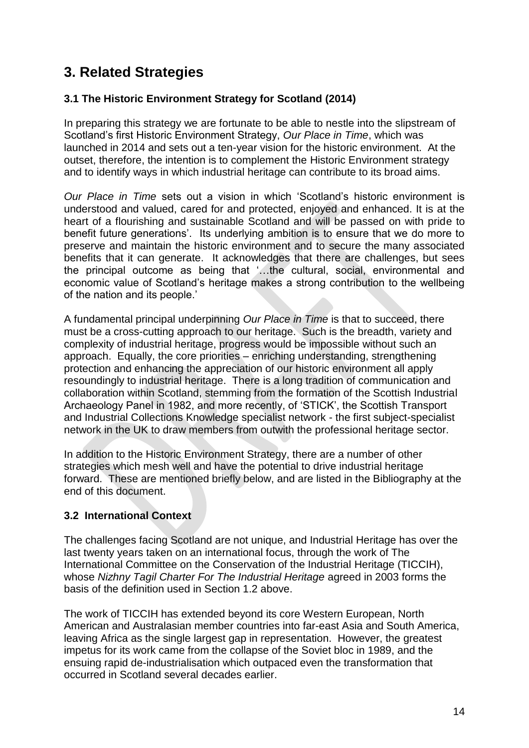# **3. Related Strategies**

### **3.1 The Historic Environment Strategy for Scotland (2014)**

In preparing this strategy we are fortunate to be able to nestle into the slipstream of Scotland's first Historic Environment Strategy, *Our Place in Time*, which was launched in 2014 and sets out a ten-year vision for the historic environment. At the outset, therefore, the intention is to complement the Historic Environment strategy and to identify ways in which industrial heritage can contribute to its broad aims.

*Our Place in Time* sets out a vision in which 'Scotland's historic environment is understood and valued, cared for and protected, enjoyed and enhanced. It is at the heart of a flourishing and sustainable Scotland and will be passed on with pride to benefit future generations'. Its underlying ambition is to ensure that we do more to preserve and maintain the historic environment and to secure the many associated benefits that it can generate. It acknowledges that there are challenges, but sees the principal outcome as being that '…the cultural, social, environmental and economic value of Scotland's heritage makes a strong contribution to the wellbeing of the nation and its people.'

A fundamental principal underpinning *Our Place in Time* is that to succeed, there must be a cross-cutting approach to our heritage. Such is the breadth, variety and complexity of industrial heritage, progress would be impossible without such an approach. Equally, the core priorities – enriching understanding, strengthening protection and enhancing the appreciation of our historic environment all apply resoundingly to industrial heritage. There is a long tradition of communication and collaboration within Scotland, stemming from the formation of the Scottish Industrial Archaeology Panel in 1982, and more recently, of 'STICK', the Scottish Transport and Industrial Collections Knowledge specialist network - the first subject-specialist network in the UK to draw members from outwith the professional heritage sector.

In addition to the Historic Environment Strategy, there are a number of other strategies which mesh well and have the potential to drive industrial heritage forward. These are mentioned briefly below, and are listed in the Bibliography at the end of this document.

### **3.2 International Context**

The challenges facing Scotland are not unique, and Industrial Heritage has over the last twenty years taken on an international focus, through the work of The International Committee on the Conservation of the Industrial Heritage (TICCIH), whose *Nizhny Tagil Charter For The Industrial Heritage* agreed in 2003 forms the basis of the definition used in Section 1.2 above.

The work of TICCIH has extended beyond its core Western European, North American and Australasian member countries into far-east Asia and South America, leaving Africa as the single largest gap in representation. However, the greatest impetus for its work came from the collapse of the Soviet bloc in 1989, and the ensuing rapid de-industrialisation which outpaced even the transformation that occurred in Scotland several decades earlier.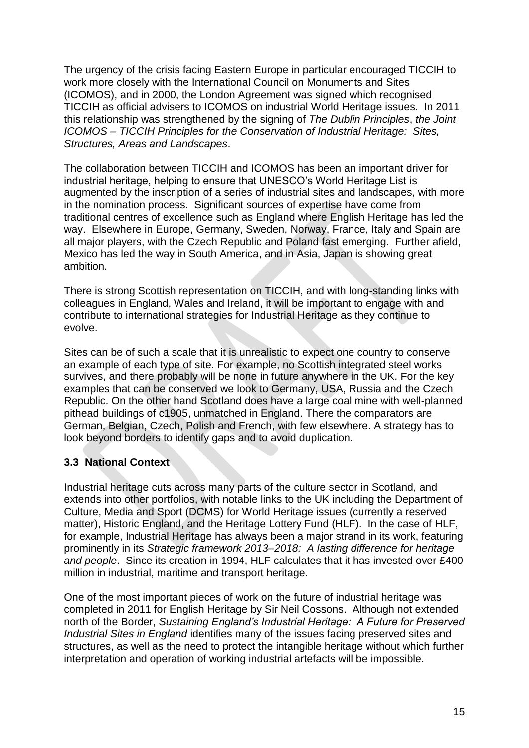The urgency of the crisis facing Eastern Europe in particular encouraged TICCIH to work more closely with the International Council on Monuments and Sites (ICOMOS), and in 2000, the London Agreement was signed which recognised TICCIH as official advisers to ICOMOS on industrial World Heritage issues. In 2011 this relationship was strengthened by the signing of *The Dublin Principles*, *the Joint ICOMOS – TICCIH Principles for the Conservation of Industrial Heritage: Sites, Structures, Areas and Landscapes*.

The collaboration between TICCIH and ICOMOS has been an important driver for industrial heritage, helping to ensure that UNESCO's World Heritage List is augmented by the inscription of a series of industrial sites and landscapes, with more in the nomination process. Significant sources of expertise have come from traditional centres of excellence such as England where English Heritage has led the way. Elsewhere in Europe, Germany, Sweden, Norway, France, Italy and Spain are all major players, with the Czech Republic and Poland fast emerging. Further afield, Mexico has led the way in South America, and in Asia, Japan is showing great ambition.

There is strong Scottish representation on TICCIH, and with long-standing links with colleagues in England, Wales and Ireland, it will be important to engage with and contribute to international strategies for Industrial Heritage as they continue to evolve.

Sites can be of such a scale that it is unrealistic to expect one country to conserve an example of each type of site. For example, no Scottish integrated steel works survives, and there probably will be none in future anywhere in the UK. For the key examples that can be conserved we look to Germany, USA, Russia and the Czech Republic. On the other hand Scotland does have a large coal mine with well-planned pithead buildings of c1905, unmatched in England. There the comparators are German, Belgian, Czech, Polish and French, with few elsewhere. A strategy has to look beyond borders to identify gaps and to avoid duplication.

## **3.3 National Context**

Industrial heritage cuts across many parts of the culture sector in Scotland, and extends into other portfolios, with notable links to the UK including the Department of Culture, Media and Sport (DCMS) for World Heritage issues (currently a reserved matter), Historic England, and the Heritage Lottery Fund (HLF). In the case of HLF, for example, Industrial Heritage has always been a major strand in its work, featuring prominently in its *Strategic framework 2013–2018: A lasting difference for heritage and people*. Since its creation in 1994, HLF calculates that it has invested over £400 million in industrial, maritime and transport heritage.

One of the most important pieces of work on the future of industrial heritage was completed in 2011 for English Heritage by Sir Neil Cossons. Although not extended north of the Border, *Sustaining England's Industrial Heritage: A Future for Preserved Industrial Sites in England* identifies many of the issues facing preserved sites and structures, as well as the need to protect the intangible heritage without which further interpretation and operation of working industrial artefacts will be impossible.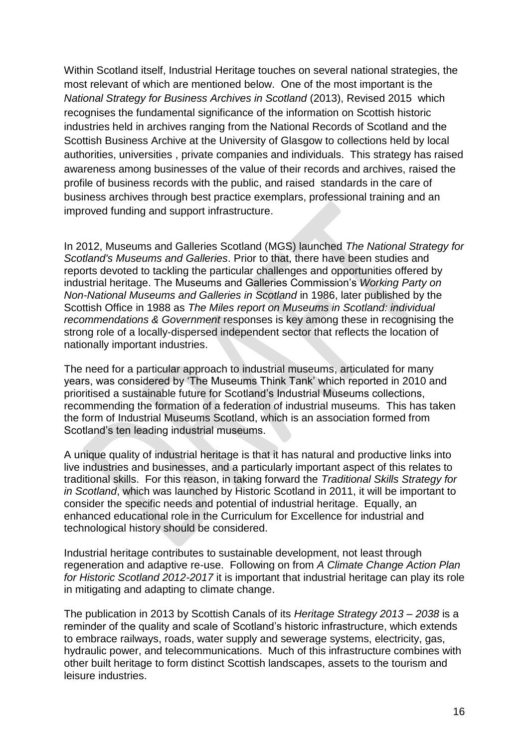Within Scotland itself, Industrial Heritage touches on several national strategies, the most relevant of which are mentioned below. One of the most important is the *National Strategy for Business Archives in Scotland* (2013), Revised 2015 which recognises the fundamental significance of the information on Scottish historic industries held in archives ranging from the National Records of Scotland and the Scottish Business Archive at the University of Glasgow to collections held by local authorities, universities , private companies and individuals. This strategy has raised awareness among businesses of the value of their records and archives, raised the profile of business records with the public, and raised standards in the care of business archives through best practice exemplars, professional training and an improved funding and support infrastructure.

In 2012, Museums and Galleries Scotland (MGS) launched *The National Strategy for Scotland's Museums and Galleries*. Prior to that, there have been studies and reports devoted to tackling the particular challenges and opportunities offered by industrial heritage. The Museums and Galleries Commission's *Working Party on Non-National Museums and Galleries in Scotland* in 1986, later published by the Scottish Office in 1988 as *The Miles report on Museums in Scotland: individual recommendations & Government* responses is key among these in recognising the strong role of a locally-dispersed independent sector that reflects the location of nationally important industries.

The need for a particular approach to industrial museums, articulated for many years, was considered by 'The Museums Think Tank' which reported in 2010 and prioritised a sustainable future for Scotland's Industrial Museums collections, recommending the formation of a federation of industrial museums. This has taken the form of Industrial Museums Scotland, which is an association formed from Scotland's ten leading industrial museums.

A unique quality of industrial heritage is that it has natural and productive links into live industries and businesses, and a particularly important aspect of this relates to traditional skills. For this reason, in taking forward the *Traditional Skills Strategy for in Scotland*, which was launched by Historic Scotland in 2011, it will be important to consider the specific needs and potential of industrial heritage. Equally, an enhanced educational role in the Curriculum for Excellence for industrial and technological history should be considered.

Industrial heritage contributes to sustainable development, not least through regeneration and adaptive re-use. Following on from *A Climate Change Action Plan for Historic Scotland 2012-2017* it is important that industrial heritage can play its role in mitigating and adapting to climate change.

The publication in 2013 by Scottish Canals of its *Heritage Strategy 2013 – 2038* is a reminder of the quality and scale of Scotland's historic infrastructure, which extends to embrace railways, roads, water supply and sewerage systems, electricity, gas, hydraulic power, and telecommunications. Much of this infrastructure combines with other built heritage to form distinct Scottish landscapes, assets to the tourism and leisure industries.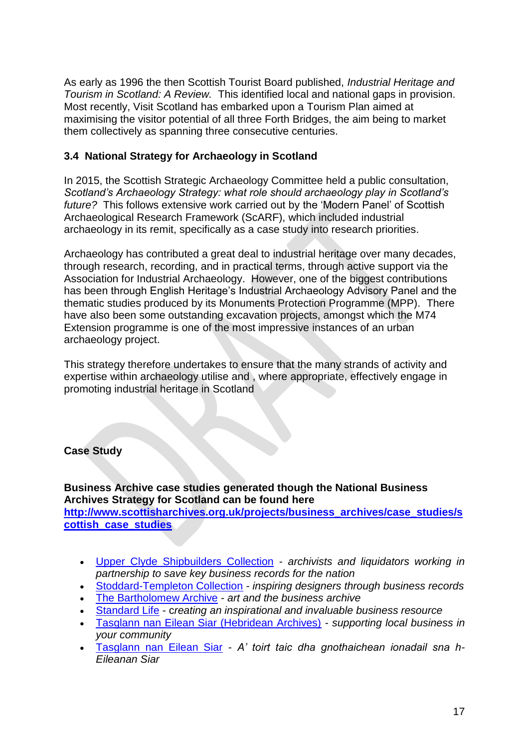As early as 1996 the then Scottish Tourist Board published, *Industrial Heritage and Tourism in Scotland: A Review.* This identified local and national gaps in provision. Most recently, Visit Scotland has embarked upon a Tourism Plan aimed at maximising the visitor potential of all three Forth Bridges, the aim being to market them collectively as spanning three consecutive centuries.

### **3.4 National Strategy for Archaeology in Scotland**

In 2015, the Scottish Strategic Archaeology Committee held a public consultation, *Scotland's Archaeology Strategy: what role should archaeology play in Scotland's future?* This follows extensive work carried out by the 'Modern Panel' of Scottish Archaeological Research Framework (ScARF), which included industrial archaeology in its remit, specifically as a case study into research priorities.

Archaeology has contributed a great deal to industrial heritage over many decades, through research, recording, and in practical terms, through active support via the Association for Industrial Archaeology. However, one of the biggest contributions has been through English Heritage's Industrial Archaeology Advisory Panel and the thematic studies produced by its Monuments Protection Programme (MPP). There have also been some outstanding excavation projects, amongst which the M74 Extension programme is one of the most impressive instances of an urban archaeology project.

This strategy therefore undertakes to ensure that the many strands of activity and expertise within archaeology utilise and , where appropriate, effectively engage in promoting industrial heritage in Scotland

### **Case Study**

**Business Archive case studies generated though the National Business Archives Strategy for Scotland can be found here [http://www.scottisharchives.org.uk/projects/business\\_archives/case\\_studies/s](http://www.scottisharchives.org.uk/projects/business_archives/case_studies/scottish_case_studies) [cottish\\_case\\_studies](http://www.scottisharchives.org.uk/projects/business_archives/case_studies/scottish_case_studies)**

- [Upper Clyde Shipbuilders Collection](http://www.scottisharchives.org.uk/business/business_case_studies/nsbas-case-study-handout-ucs.pdf) *archivists and liquidators working in partnership to save key business records for the nation*
- [Stoddard-Templeton Collection](http://www.scottisharchives.org.uk/business/business_case_studies/nsbas-case-study-handout-stoddard.pdf) *inspiring designers through business records*
- [The Bartholomew Archive](http://www.scottisharchives.org.uk/business/business_case_studies/nsbas-case-study-handout-bartholomews.pdf) *art and the business archive*
- [Standard Life](http://www.scottisharchives.org.uk/business/business_case_studies/nsbas-case-study-handout-standard-life.pdf) c*reating an inspirational and invaluable business resource*
- [Tasglann nan Eilean Siar \(Hebridean Archives\)](http://www.scottisharchives.org.uk/business/business_case_studies/nsbas-case-study-handout-tasglann-english.pdf) *supporting local business in your community*
- [Tasglann nan Eilean Siar](http://www.scottisharchives.org.uk/business/business_case_studies/nsbas-case-study-handout-tasglann-gaelic.pdf) *A' toirt taic dha gnothaichean ionadail sna h-Eileanan Siar*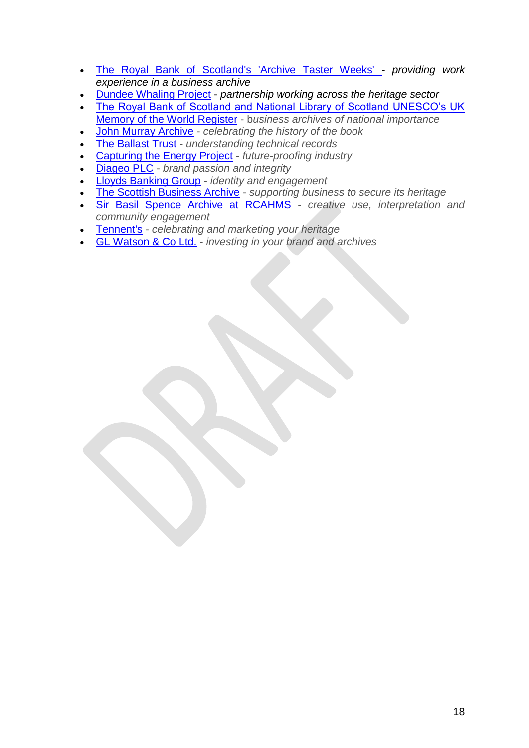- [The Royal Bank of Scotland's 'Archive Taster Weeks' -](http://www.scottisharchives.org.uk/business/business_case_studies/nsbas_case_study_handout_rbs_taster_week.pdf) *providing work experience in a business archive*
- [Dundee Whaling Project](http://www.scottisharchives.org.uk/business/business_case_studies/nsbas_case_study_handout_dundee_whaling.pdf) *partnership working across the heritage sector*
- [The Royal Bank of Scotland and National Library of Scotland UNESCO's UK](http://www.scottisharchives.org.uk/business/business_case_studies/nsbas-case-study-handout-unesco.pdf)  [Memory of the World Register](http://www.scottisharchives.org.uk/business/business_case_studies/nsbas-case-study-handout-unesco.pdf) - b*usiness archives of national importance*
- [John Murray Archive](http://www.scottisharchives.org.uk/business/business_case_studies/nsbas-case-study-handout-jma.pdf) *celebrating the history of the book*
- [The Ballast Trust](http://www.scottisharchives.org.uk/business/business_case_studies/nsbas-case-study-handout-ballast.pdf) *understanding technical records*
- Capturing the [Energy Project](http://www.scottisharchives.org.uk/business/business_case_studies/nsbas-case-study-handout-cte.pdf) *future-proofing industry*
- [Diageo PLC](http://www.scottisharchives.org.uk/business/business_case_studies/nsbas-case-study-handout-diageo.pdf) *brand passion and integrity*
- [Lloyds Banking Group](http://www.scottisharchives.org.uk/business/business_case_studies/nsbas-case-study-handout-lloyds.pdf) *identity and engagement*
- [The Scottish Business Archive](http://www.scottisharchives.org.uk/business/business_case_studies/nsbas-case-study-handout-sba.pdf) *supporting business to secure its heritage*
- [Sir Basil Spence Archive at RCAHMS](http://www.scottisharchives.org.uk/business/business_case_studies/nsbas-case-study-handout-rcahms.pdf) *creative use, interpretation and community engagement*
- [Tennent's](http://www.scottisharchives.org.uk/business/business_case_studies/nsbas-case-study-handout-tennents.pdf) *celebrating and marketing your heritage*
- [GL Watson & Co Ltd.](http://www.scottisharchives.org.uk/business/business_case_studies/nsbas-case-study-handout-gl-watson.pdf) *investing in your brand and archives*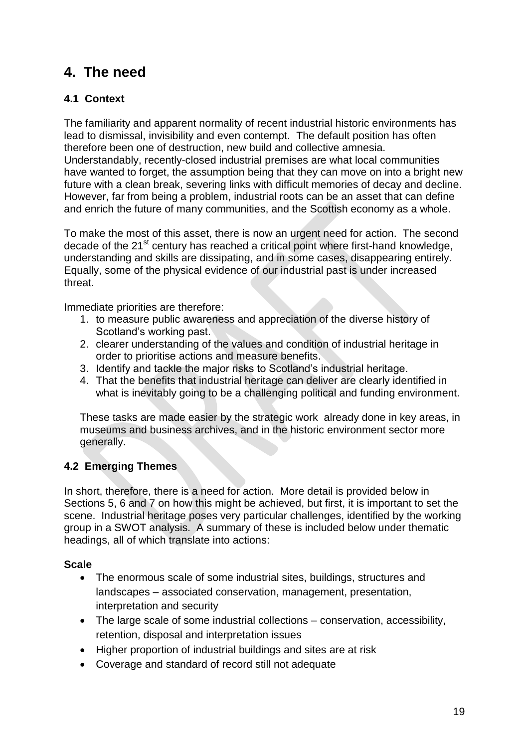# **4. The need**

## **4.1 Context**

The familiarity and apparent normality of recent industrial historic environments has lead to dismissal, invisibility and even contempt. The default position has often therefore been one of destruction, new build and collective amnesia.

Understandably, recently-closed industrial premises are what local communities have wanted to forget, the assumption being that they can move on into a bright new future with a clean break, severing links with difficult memories of decay and decline. However, far from being a problem, industrial roots can be an asset that can define and enrich the future of many communities, and the Scottish economy as a whole.

To make the most of this asset, there is now an urgent need for action. The second decade of the 21<sup>st</sup> century has reached a critical point where first-hand knowledge, understanding and skills are dissipating, and in some cases, disappearing entirely. Equally, some of the physical evidence of our industrial past is under increased threat.

Immediate priorities are therefore:

- 1. to measure public awareness and appreciation of the diverse history of Scotland's working past.
- 2. clearer understanding of the values and condition of industrial heritage in order to prioritise actions and measure benefits.
- 3. Identify and tackle the major risks to Scotland's industrial heritage.
- 4. That the benefits that industrial heritage can deliver are clearly identified in what is inevitably going to be a challenging political and funding environment.

These tasks are made easier by the strategic work already done in key areas, in museums and business archives, and in the historic environment sector more generally.

## **4.2 Emerging Themes**

In short, therefore, there is a need for action. More detail is provided below in Sections 5, 6 and 7 on how this might be achieved, but first, it is important to set the scene. Industrial heritage poses very particular challenges, identified by the working group in a SWOT analysis. A summary of these is included below under thematic headings, all of which translate into actions:

### **Scale**

- The enormous scale of some industrial sites, buildings, structures and landscapes – associated conservation, management, presentation, interpretation and security
- The large scale of some industrial collections conservation, accessibility, retention, disposal and interpretation issues
- Higher proportion of industrial buildings and sites are at risk
- Coverage and standard of record still not adequate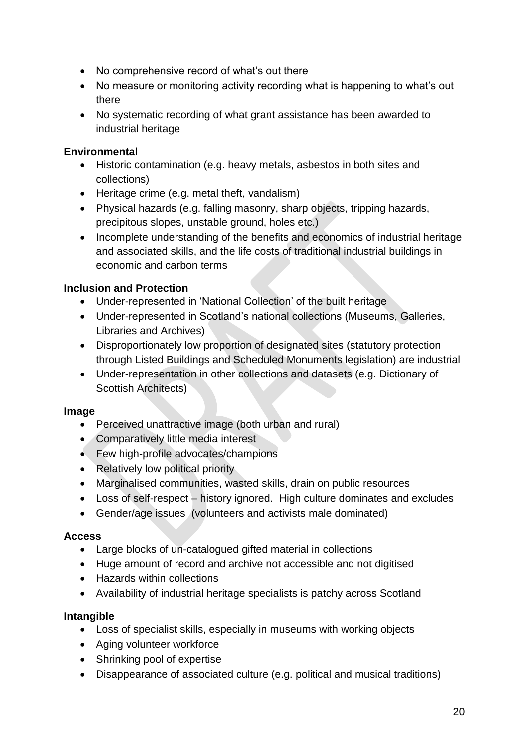- No comprehensive record of what's out there
- No measure or monitoring activity recording what is happening to what's out there
- No systematic recording of what grant assistance has been awarded to industrial heritage

### **Environmental**

- Historic contamination (e.g. heavy metals, asbestos in both sites and collections)
- Heritage crime (e.g. metal theft, vandalism)
- Physical hazards (e.g. falling masonry, sharp objects, tripping hazards, precipitous slopes, unstable ground, holes etc.)
- Incomplete understanding of the benefits and economics of industrial heritage and associated skills, and the life costs of traditional industrial buildings in economic and carbon terms

## **Inclusion and Protection**

- Under-represented in 'National Collection' of the built heritage
- Under-represented in Scotland's national collections (Museums, Galleries, Libraries and Archives)
- Disproportionately low proportion of designated sites (statutory protection through Listed Buildings and Scheduled Monuments legislation) are industrial
- Under-representation in other collections and datasets (e.g. Dictionary of Scottish Architects)

### **Image**

- Perceived unattractive image (both urban and rural)
- Comparatively little media interest
- Few high-profile advocates/champions
- Relatively low political priority
- Marginalised communities, wasted skills, drain on public resources
- Loss of self-respect history ignored. High culture dominates and excludes
- Gender/age issues (volunteers and activists male dominated)

### **Access**

- Large blocks of un-catalogued gifted material in collections
- Huge amount of record and archive not accessible and not digitised
- Hazards within collections
- Availability of industrial heritage specialists is patchy across Scotland

### **Intangible**

- Loss of specialist skills, especially in museums with working objects
- Aging volunteer workforce
- Shrinking pool of expertise
- Disappearance of associated culture (e.g. political and musical traditions)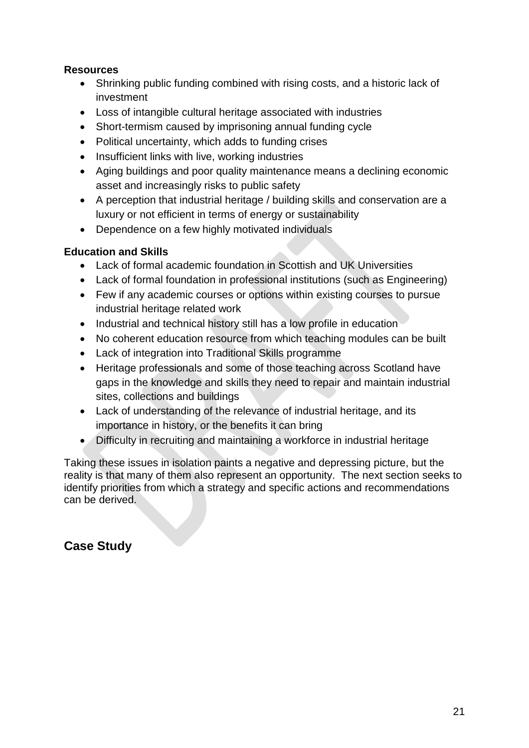### **Resources**

- Shrinking public funding combined with rising costs, and a historic lack of investment
- Loss of intangible cultural heritage associated with industries
- Short-termism caused by imprisoning annual funding cycle
- Political uncertainty, which adds to funding crises
- Insufficient links with live, working industries
- Aging buildings and poor quality maintenance means a declining economic asset and increasingly risks to public safety
- A perception that industrial heritage / building skills and conservation are a luxury or not efficient in terms of energy or sustainability
- Dependence on a few highly motivated individuals

### **Education and Skills**

- Lack of formal academic foundation in Scottish and UK Universities
- Lack of formal foundation in professional institutions (such as Engineering)
- Few if any academic courses or options within existing courses to pursue industrial heritage related work
- Industrial and technical history still has a low profile in education
- No coherent education resource from which teaching modules can be built
- Lack of integration into Traditional Skills programme
- Heritage professionals and some of those teaching across Scotland have gaps in the knowledge and skills they need to repair and maintain industrial sites, collections and buildings
- Lack of understanding of the relevance of industrial heritage, and its importance in history, or the benefits it can bring
- Difficulty in recruiting and maintaining a workforce in industrial heritage

Taking these issues in isolation paints a negative and depressing picture, but the reality is that many of them also represent an opportunity. The next section seeks to identify priorities from which a strategy and specific actions and recommendations can be derived.

# **Case Study**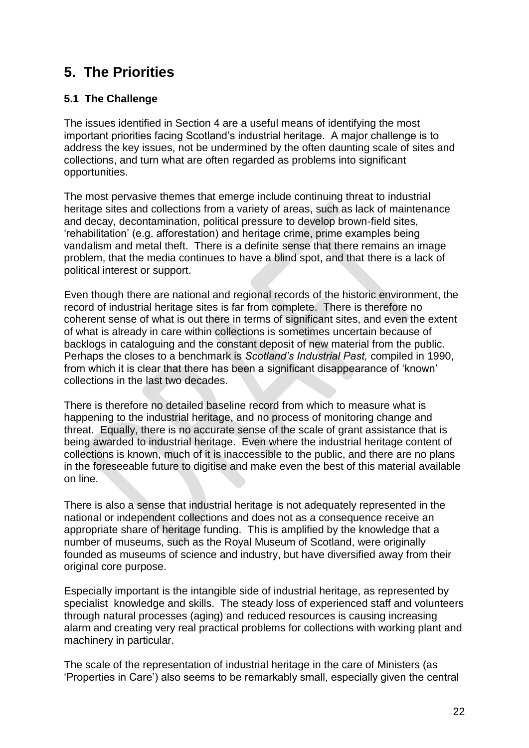# **5. The Priorities**

### **5.1 The Challenge**

The issues identified in Section 4 are a useful means of identifying the most important priorities facing Scotland's industrial heritage. A major challenge is to address the key issues, not be undermined by the often daunting scale of sites and collections, and turn what are often regarded as problems into significant opportunities.

The most pervasive themes that emerge include continuing threat to industrial heritage sites and collections from a variety of areas, such as lack of maintenance and decay, decontamination, political pressure to develop brown-field sites, 'rehabilitation' (e.g. afforestation) and heritage crime, prime examples being vandalism and metal theft. There is a definite sense that there remains an image problem, that the media continues to have a blind spot, and that there is a lack of political interest or support.

Even though there are national and regional records of the historic environment, the record of industrial heritage sites is far from complete. There is therefore no coherent sense of what is out there in terms of significant sites, and even the extent of what is already in care within collections is sometimes uncertain because of backlogs in cataloguing and the constant deposit of new material from the public. Perhaps the closes to a benchmark is *Scotland's Industrial Past,* compiled in 1990, from which it is clear that there has been a significant disappearance of 'known' collections in the last two decades.

There is therefore no detailed baseline record from which to measure what is happening to the industrial heritage, and no process of monitoring change and threat. Equally, there is no accurate sense of the scale of grant assistance that is being awarded to industrial heritage. Even where the industrial heritage content of collections is known, much of it is inaccessible to the public, and there are no plans in the foreseeable future to digitise and make even the best of this material available on line.

There is also a sense that industrial heritage is not adequately represented in the national or independent collections and does not as a consequence receive an appropriate share of heritage funding. This is amplified by the knowledge that a number of museums, such as the Royal Museum of Scotland, were originally founded as museums of science and industry, but have diversified away from their original core purpose.

Especially important is the intangible side of industrial heritage, as represented by specialist knowledge and skills. The steady loss of experienced staff and volunteers through natural processes (aging) and reduced resources is causing increasing alarm and creating very real practical problems for collections with working plant and machinery in particular.

The scale of the representation of industrial heritage in the care of Ministers (as 'Properties in Care') also seems to be remarkably small, especially given the central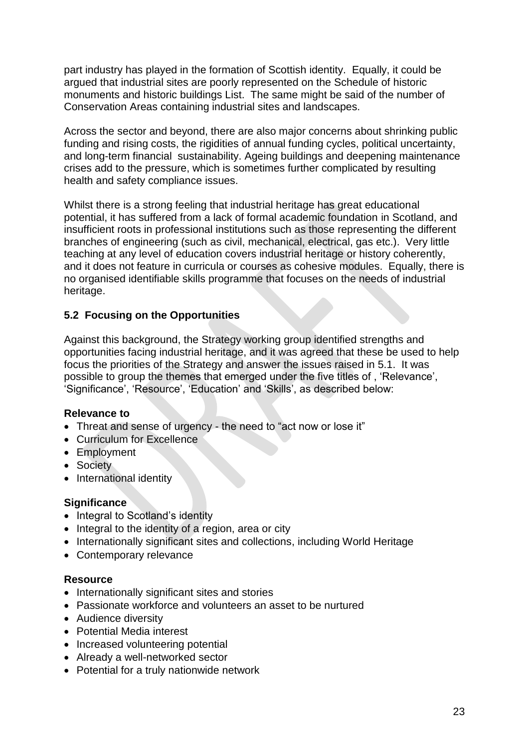part industry has played in the formation of Scottish identity. Equally, it could be argued that industrial sites are poorly represented on the Schedule of historic monuments and historic buildings List. The same might be said of the number of Conservation Areas containing industrial sites and landscapes.

Across the sector and beyond, there are also major concerns about shrinking public funding and rising costs, the rigidities of annual funding cycles, political uncertainty, and long-term financial sustainability. Ageing buildings and deepening maintenance crises add to the pressure, which is sometimes further complicated by resulting health and safety compliance issues.

Whilst there is a strong feeling that industrial heritage has great educational potential, it has suffered from a lack of formal academic foundation in Scotland, and insufficient roots in professional institutions such as those representing the different branches of engineering (such as civil, mechanical, electrical, gas etc.). Very little teaching at any level of education covers industrial heritage or history coherently, and it does not feature in curricula or courses as cohesive modules. Equally, there is no organised identifiable skills programme that focuses on the needs of industrial heritage.

#### **5.2 Focusing on the Opportunities**

Against this background, the Strategy working group identified strengths and opportunities facing industrial heritage, and it was agreed that these be used to help focus the priorities of the Strategy and answer the issues raised in 5.1. It was possible to group the themes that emerged under the five titles of , 'Relevance', 'Significance', 'Resource', 'Education' and 'Skills', as described below:

#### **Relevance to**

- Threat and sense of urgency the need to "act now or lose it"
- Curriculum for Excellence
- Employment
- Society
- International identity

#### **Significance**

- Integral to Scotland's identity
- Integral to the identity of a region, area or city
- Internationally significant sites and collections, including World Heritage
- Contemporary relevance

#### **Resource**

- Internationally significant sites and stories
- Passionate workforce and volunteers an asset to be nurtured
- Audience diversity
- Potential Media interest
- Increased volunteering potential
- Already a well-networked sector
- Potential for a truly nationwide network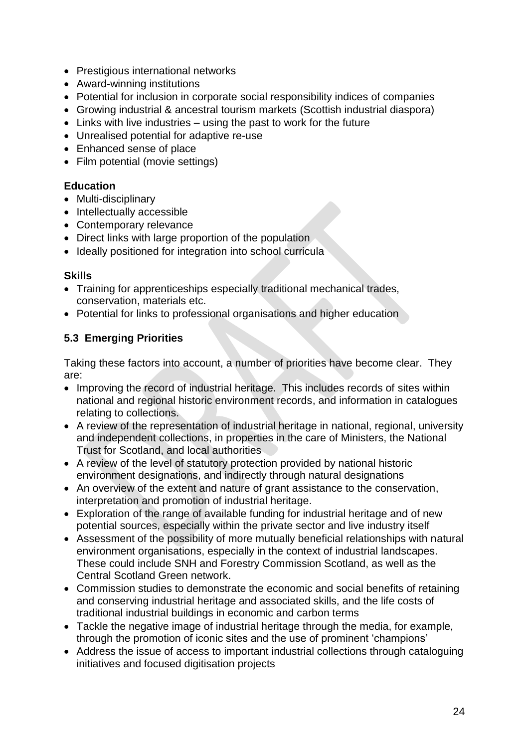- Prestigious international networks
- Award-winning institutions
- Potential for inclusion in corporate social responsibility indices of companies
- Growing industrial & ancestral tourism markets (Scottish industrial diaspora)
- Links with live industries using the past to work for the future
- Unrealised potential for adaptive re-use
- Enhanced sense of place
- Film potential (movie settings)

### **Education**

- Multi-disciplinary
- Intellectually accessible
- Contemporary relevance
- Direct links with large proportion of the population
- Ideally positioned for integration into school curricula

#### **Skills**

- Training for apprenticeships especially traditional mechanical trades, conservation, materials etc.
- Potential for links to professional organisations and higher education

### **5.3 Emerging Priorities**

Taking these factors into account, a number of priorities have become clear. They are:

- Improving the record of industrial heritage. This includes records of sites within national and regional historic environment records, and information in catalogues relating to collections.
- A review of the representation of industrial heritage in national, regional, university and independent collections, in properties in the care of Ministers, the National Trust for Scotland, and local authorities
- A review of the level of statutory protection provided by national historic environment designations, and indirectly through natural designations
- An overview of the extent and nature of grant assistance to the conservation, interpretation and promotion of industrial heritage.
- Exploration of the range of available funding for industrial heritage and of new potential sources, especially within the private sector and live industry itself
- Assessment of the possibility of more mutually beneficial relationships with natural environment organisations, especially in the context of industrial landscapes. These could include SNH and Forestry Commission Scotland, as well as the Central Scotland Green network.
- Commission studies to demonstrate the economic and social benefits of retaining and conserving industrial heritage and associated skills, and the life costs of traditional industrial buildings in economic and carbon terms
- Tackle the negative image of industrial heritage through the media, for example, through the promotion of iconic sites and the use of prominent 'champions'
- Address the issue of access to important industrial collections through cataloguing initiatives and focused digitisation projects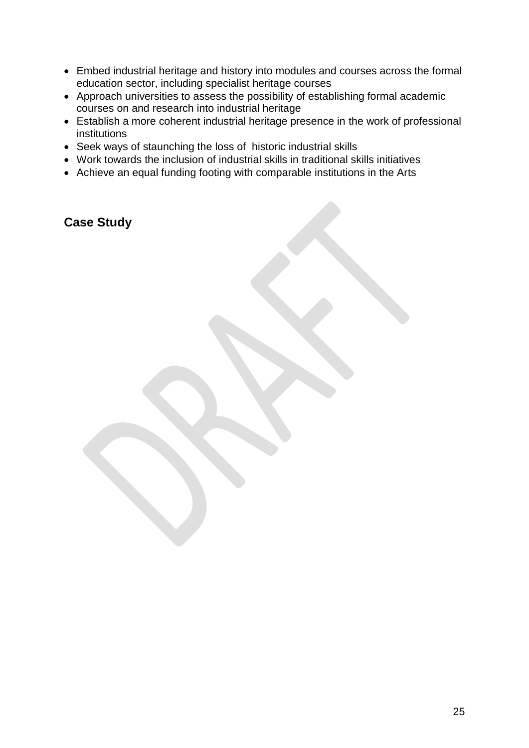- Embed industrial heritage and history into modules and courses across the formal education sector, including specialist heritage courses
- Approach universities to assess the possibility of establishing formal academic courses on and research into industrial heritage
- Establish a more coherent industrial heritage presence in the work of professional institutions
- Seek ways of staunching the loss of historic industrial skills
- Work towards the inclusion of industrial skills in traditional skills initiatives
- Achieve an equal funding footing with comparable institutions in the Arts

**Case Study**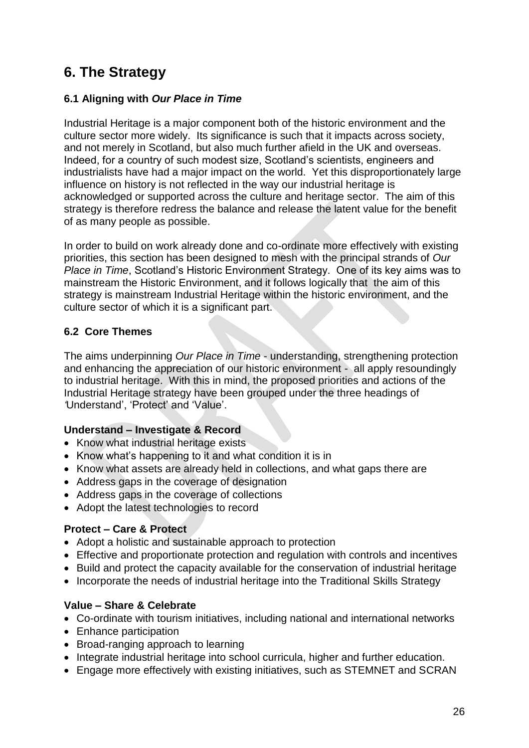# **6. The Strategy**

### **6.1 Aligning with** *Our Place in Time*

Industrial Heritage is a major component both of the historic environment and the culture sector more widely. Its significance is such that it impacts across society, and not merely in Scotland, but also much further afield in the UK and overseas. Indeed, for a country of such modest size, Scotland's scientists, engineers and industrialists have had a major impact on the world. Yet this disproportionately large influence on history is not reflected in the way our industrial heritage is acknowledged or supported across the culture and heritage sector. The aim of this strategy is therefore redress the balance and release the latent value for the benefit of as many people as possible.

In order to build on work already done and co-ordinate more effectively with existing priorities, this section has been designed to mesh with the principal strands of *Our Place in Time*, Scotland's Historic Environment Strategy. One of its key aims was to mainstream the Historic Environment, and it follows logically that the aim of this strategy is mainstream Industrial Heritage within the historic environment, and the culture sector of which it is a significant part.

### **6.2 Core Themes**

The aims underpinning *Our Place in Time* - understanding, strengthening protection and enhancing the appreciation of our historic environment - all apply resoundingly to industrial heritage. With this in mind, the proposed priorities and actions of the Industrial Heritage strategy have been grouped under the three headings of *'*Understand', 'Protect' and 'Value'.

### **Understand – Investigate & Record**

- Know what industrial heritage exists
- Know what's happening to it and what condition it is in
- Know what assets are already held in collections, and what gaps there are
- Address gaps in the coverage of designation
- Address gaps in the coverage of collections
- Adopt the latest technologies to record

### **Protect – Care & Protect**

- Adopt a holistic and sustainable approach to protection
- Effective and proportionate protection and regulation with controls and incentives
- Build and protect the capacity available for the conservation of industrial heritage
- Incorporate the needs of industrial heritage into the Traditional Skills Strategy

### **Value – Share & Celebrate**

- Co-ordinate with tourism initiatives, including national and international networks
- Enhance participation
- Broad-ranging approach to learning
- Integrate industrial heritage into school curricula, higher and further education.
- Engage more effectively with existing initiatives, such as STEMNET and SCRAN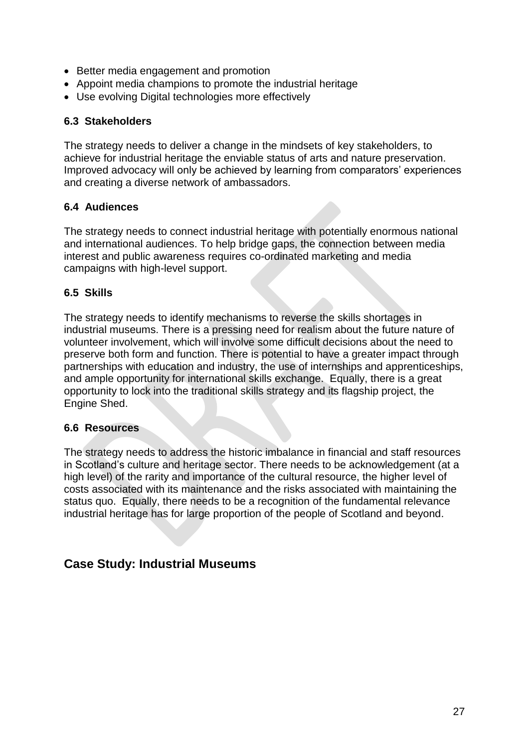- Better media engagement and promotion
- Appoint media champions to promote the industrial heritage
- Use evolving Digital technologies more effectively

#### **6.3 Stakeholders**

The strategy needs to deliver a change in the mindsets of key stakeholders, to achieve for industrial heritage the enviable status of arts and nature preservation. Improved advocacy will only be achieved by learning from comparators' experiences and creating a diverse network of ambassadors.

#### **6.4 Audiences**

The strategy needs to connect industrial heritage with potentially enormous national and international audiences. To help bridge gaps, the connection between media interest and public awareness requires co-ordinated marketing and media campaigns with high-level support.

#### **6.5 Skills**

The strategy needs to identify mechanisms to reverse the skills shortages in industrial museums. There is a pressing need for realism about the future nature of volunteer involvement, which will involve some difficult decisions about the need to preserve both form and function. There is potential to have a greater impact through partnerships with education and industry, the use of internships and apprenticeships, and ample opportunity for international skills exchange. Equally, there is a great opportunity to lock into the traditional skills strategy and its flagship project, the Engine Shed.

#### **6.6 Resources**

The strategy needs to address the historic imbalance in financial and staff resources in Scotland's culture and heritage sector. There needs to be acknowledgement (at a high level) of the rarity and importance of the cultural resource, the higher level of costs associated with its maintenance and the risks associated with maintaining the status quo. Equally, there needs to be a recognition of the fundamental relevance industrial heritage has for large proportion of the people of Scotland and beyond.

## **Case Study: Industrial Museums**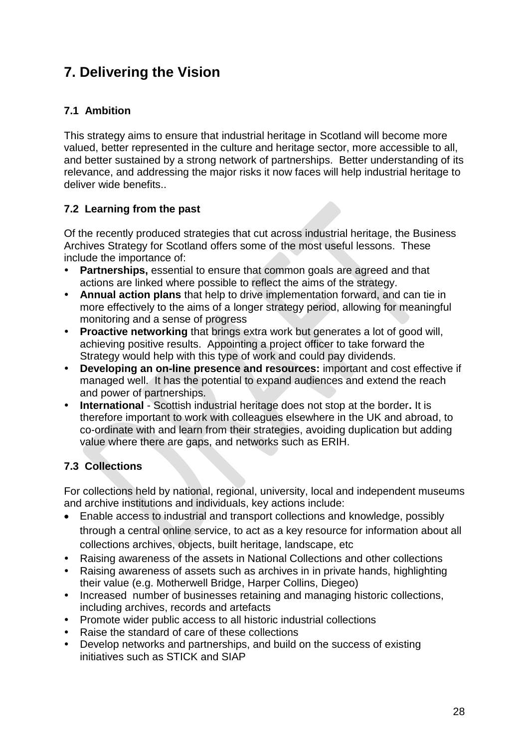# **7. Delivering the Vision**

## **7.1 Ambition**

This strategy aims to ensure that industrial heritage in Scotland will become more valued, better represented in the culture and heritage sector, more accessible to all, and better sustained by a strong network of partnerships. Better understanding of its relevance, and addressing the major risks it now faces will help industrial heritage to deliver wide benefits..

## **7.2 Learning from the past**

Of the recently produced strategies that cut across industrial heritage, the Business Archives Strategy for Scotland offers some of the most useful lessons. These include the importance of:

- **Partnerships,** essential to ensure that common goals are agreed and that actions are linked where possible to reflect the aims of the strategy.
- **Annual action plans** that help to drive implementation forward, and can tie in more effectively to the aims of a longer strategy period, allowing for meaningful monitoring and a sense of progress
- **Proactive networking** that brings extra work but generates a lot of good will, achieving positive results. Appointing a project officer to take forward the Strategy would help with this type of work and could pay dividends.
- **Developing an on-line presence and resources:** important and cost effective if managed well. It has the potential to expand audiences and extend the reach and power of partnerships.
- **International** Scottish industrial heritage does not stop at the border**.** It is therefore important to work with colleagues elsewhere in the UK and abroad, to co-ordinate with and learn from their strategies, avoiding duplication but adding value where there are gaps, and networks such as ERIH.

## **7.3 Collections**

For collections held by national, regional, university, local and independent museums and archive institutions and individuals, key actions include:

- Enable access to industrial and transport collections and knowledge, possibly through a central online service, to act as a key resource for information about all collections archives, objects, built heritage, landscape, etc
- Raising awareness of the assets in National Collections and other collections
- Raising awareness of assets such as archives in in private hands, highlighting their value (e.g. Motherwell Bridge, Harper Collins, Diegeo)
- Increased number of businesses retaining and managing historic collections, including archives, records and artefacts
- Promote wider public access to all historic industrial collections
- Raise the standard of care of these collections
- Develop networks and partnerships, and build on the success of existing initiatives such as STICK and SIAP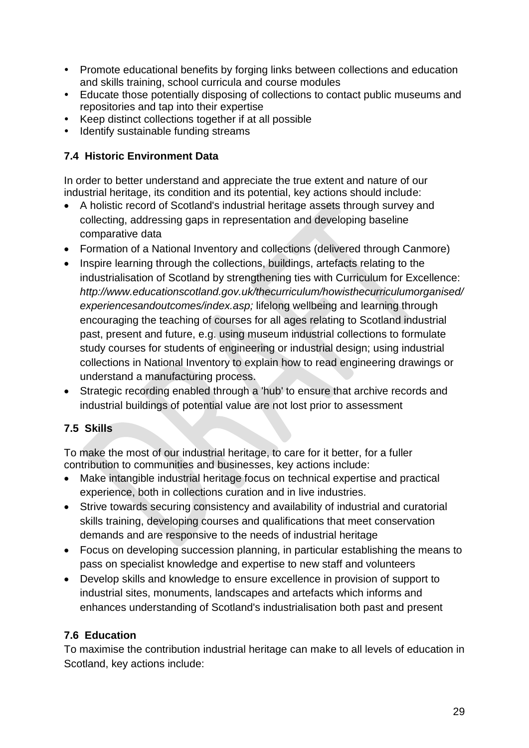- Promote educational benefits by forging links between collections and education and skills training, school curricula and course modules
- Educate those potentially disposing of collections to contact public museums and repositories and tap into their expertise
- Keep distinct collections together if at all possible
- Identify sustainable funding streams

## **7.4 Historic Environment Data**

In order to better understand and appreciate the true extent and nature of our industrial heritage, its condition and its potential, key actions should include:

- A holistic record of Scotland's industrial heritage assets through survey and collecting, addressing gaps in representation and developing baseline comparative data
- Formation of a National Inventory and collections (delivered through Canmore)
- Inspire learning through the collections, buildings, artefacts relating to the industrialisation of Scotland by strengthening ties with Curriculum for Excellence: *http://www.educationscotland.gov.uk/thecurriculum/howisthecurriculumorganised/ experiencesandoutcomes/index.asp;* lifelong wellbeing and learning through encouraging the teaching of courses for all ages relating to Scotland industrial past, present and future, e.g. using museum industrial collections to formulate study courses for students of engineering or industrial design; using industrial collections in National Inventory to explain how to read engineering drawings or understand a manufacturing process.
- Strategic recording enabled through a 'hub' to ensure that archive records and industrial buildings of potential value are not lost prior to assessment

## **7.5 Skills**

To make the most of our industrial heritage, to care for it better, for a fuller contribution to communities and businesses, key actions include:

- Make intangible industrial heritage focus on technical expertise and practical experience, both in collections curation and in live industries.
- Strive towards securing consistency and availability of industrial and curatorial skills training, developing courses and qualifications that meet conservation demands and are responsive to the needs of industrial heritage
- Focus on developing succession planning, in particular establishing the means to pass on specialist knowledge and expertise to new staff and volunteers
- Develop skills and knowledge to ensure excellence in provision of support to industrial sites, monuments, landscapes and artefacts which informs and enhances understanding of Scotland's industrialisation both past and present

## **7.6 Education**

To maximise the contribution industrial heritage can make to all levels of education in Scotland, key actions include: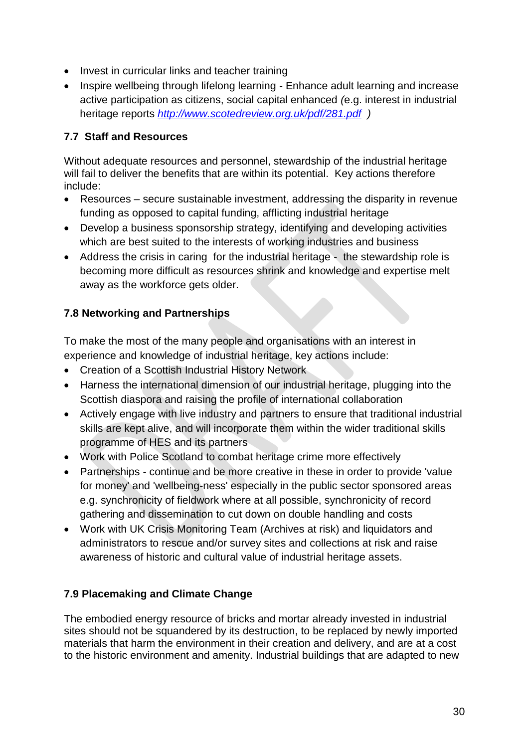- Invest in curricular links and teacher training
- Inspire wellbeing through lifelong learning Enhance adult learning and increase active participation as citizens, social capital enhanced *(*e.g. interest in industrial heritage reports *<http://www.scotedreview.org.uk/pdf/281.pdf>)*

### **7.7 Staff and Resources**

Without adequate resources and personnel, stewardship of the industrial heritage will fail to deliver the benefits that are within its potential. Key actions therefore include:

- Resources secure sustainable investment, addressing the disparity in revenue funding as opposed to capital funding, afflicting industrial heritage
- Develop a business sponsorship strategy, identifying and developing activities which are best suited to the interests of working industries and business
- Address the crisis in caring for the industrial heritage the stewardship role is becoming more difficult as resources shrink and knowledge and expertise melt away as the workforce gets older.

### **7.8 Networking and Partnerships**

To make the most of the many people and organisations with an interest in experience and knowledge of industrial heritage, key actions include:

- Creation of a Scottish Industrial History Network
- Harness the international dimension of our industrial heritage, plugging into the Scottish diaspora and raising the profile of international collaboration
- Actively engage with live industry and partners to ensure that traditional industrial skills are kept alive, and will incorporate them within the wider traditional skills programme of HES and its partners
- Work with Police Scotland to combat heritage crime more effectively
- Partnerships continue and be more creative in these in order to provide 'value for money' and 'wellbeing-ness' especially in the public sector sponsored areas e.g. synchronicity of fieldwork where at all possible, synchronicity of record gathering and dissemination to cut down on double handling and costs
- Work with UK Crisis Monitoring Team (Archives at risk) and liquidators and administrators to rescue and/or survey sites and collections at risk and raise awareness of historic and cultural value of industrial heritage assets.

### **7.9 Placemaking and Climate Change**

The embodied energy resource of bricks and mortar already invested in industrial sites should not be squandered by its destruction, to be replaced by newly imported materials that harm the environment in their creation and delivery, and are at a cost to the historic environment and amenity. Industrial buildings that are adapted to new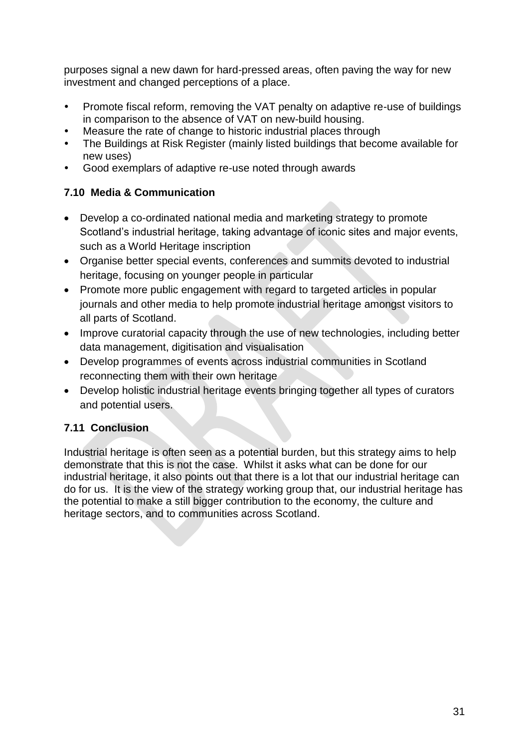purposes signal a new dawn for hard-pressed areas, often paving the way for new investment and changed perceptions of a place.

- Promote fiscal reform, removing the VAT penalty on adaptive re-use of buildings in comparison to the absence of VAT on new-build housing.
- Measure the rate of change to historic industrial places through
- The Buildings at Risk Register (mainly listed buildings that become available for new uses)
- Good exemplars of adaptive re-use noted through awards

## **7.10 Media & Communication**

- Develop a co-ordinated national media and marketing strategy to promote Scotland's industrial heritage, taking advantage of iconic sites and major events, such as a World Heritage inscription
- Organise better special events, conferences and summits devoted to industrial heritage, focusing on younger people in particular
- Promote more public engagement with regard to targeted articles in popular journals and other media to help promote industrial heritage amongst visitors to all parts of Scotland.
- Improve curatorial capacity through the use of new technologies, including better data management, digitisation and visualisation
- Develop programmes of events across industrial communities in Scotland reconnecting them with their own heritage
- Develop holistic industrial heritage events bringing together all types of curators and potential users.

## **7.11 Conclusion**

Industrial heritage is often seen as a potential burden, but this strategy aims to help demonstrate that this is not the case. Whilst it asks what can be done for our industrial heritage, it also points out that there is a lot that our industrial heritage can do for us. It is the view of the strategy working group that, our industrial heritage has the potential to make a still bigger contribution to the economy, the culture and heritage sectors, and to communities across Scotland.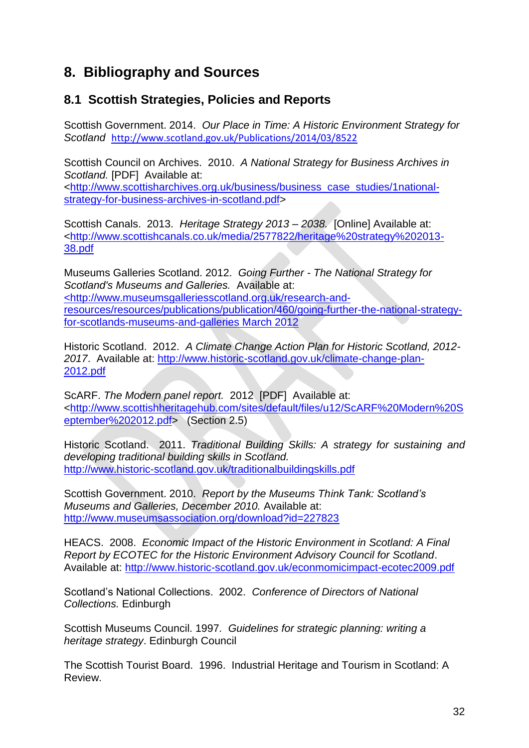# **8. Bibliography and Sources**

## **8.1 Scottish Strategies, Policies and Reports**

Scottish Government. 2014. *Our Place in Time: A Historic Environment Strategy for Scotland* <http://www.scotland.gov.uk/Publications/2014/03/8522>

Scottish Council on Archives. 2010. *A National Strategy for Business Archives in Scotland.* [PDF] Available at:

[<http://www.scottisharchives.org.uk/business/business\\_case\\_studies/1national](http://www.scottisharchives.org.uk/business/business_case_studies/1national-strategy-for-business-archives-in-scotland.pdf)[strategy-for-business-archives-in-scotland.pdf>](http://www.scottisharchives.org.uk/business/business_case_studies/1national-strategy-for-business-archives-in-scotland.pdf)

Scottish Canals. 2013. *Heritage Strategy 2013 – 2038.* [Online] Available at: [<http://www.scottishcanals.co.uk/media/2577822/heritage%20strategy%202013-](http://www.scottishcanals.co.uk/media/2577822/heritage%20strategy%202013-38.pdf) [38.pdf](http://www.scottishcanals.co.uk/media/2577822/heritage%20strategy%202013-38.pdf)

Museums Galleries Scotland. 2012. *Going Further - The National Strategy for Scotland's Museums and Galleries.* Available at: [<http://www.museumsgalleriesscotland.org.uk/research-and](%3chttp:/www.museumsgalleriesscotland.org.uk/research-and-resources/resources/publications/publication/460/going-further-the-national-strategy-for-scotlands-museums-and-galleries%20March%202012)[resources/resources/publications/publication/460/going-further-the-national-strategy](%3chttp:/www.museumsgalleriesscotland.org.uk/research-and-resources/resources/publications/publication/460/going-further-the-national-strategy-for-scotlands-museums-and-galleries%20March%202012)[for-scotlands-museums-and-galleries March 2012](%3chttp:/www.museumsgalleriesscotland.org.uk/research-and-resources/resources/publications/publication/460/going-further-the-national-strategy-for-scotlands-museums-and-galleries%20March%202012)

Historic Scotland. 2012. *A Climate Change Action Plan for Historic Scotland, 2012- 2017*. Available at: [http://www.historic-scotland.gov.uk/climate-change-plan-](http://www.historic-scotland.gov.uk/climate-change-plan-2012.pdf)[2012.pdf](http://www.historic-scotland.gov.uk/climate-change-plan-2012.pdf)

ScARF. *The Modern panel report.* 2012 [PDF] Available at: [<http://www.scottishheritagehub.com/sites/default/files/u12/ScARF%20Modern%20S](http://www.scottishheritagehub.com/sites/default/files/u12/ScARF%20Modern%20September%202012.pdf) [eptember%202012.pdf>](http://www.scottishheritagehub.com/sites/default/files/u12/ScARF%20Modern%20September%202012.pdf) (Section 2.5)

Historic Scotland. 2011. *Traditional Building Skills: A strategy for sustaining and developing traditional building skills in Scotland.* <http://www.historic-scotland.gov.uk/traditionalbuildingskills.pdf>

Scottish Government. 2010. *Report by the Museums Think Tank: Scotland's Museums and Galleries, December 2010.* Available at: <http://www.museumsassociation.org/download?id=227823>

HEACS. 2008. *Economic Impact of the Historic Environment in Scotland: A Final Report by ECOTEC for the Historic Environment Advisory Council for Scotland*. Available at:<http://www.historic-scotland.gov.uk/econmomicimpact-ecotec2009.pdf>

Scotland's National Collections. 2002. *Conference of Directors of National Collections.* Edinburgh

Scottish Museums Council. 1997*. Guidelines for strategic planning: writing a heritage strategy*. Edinburgh Council

The Scottish Tourist Board. 1996. Industrial Heritage and Tourism in Scotland: A Review.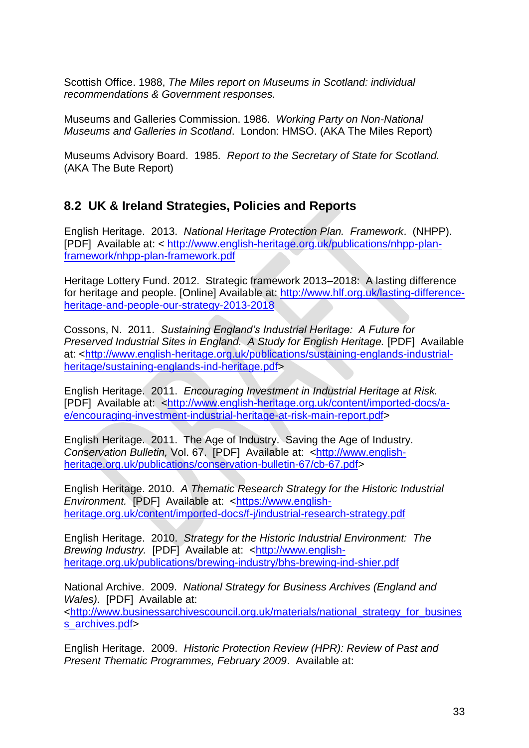Scottish Office. 1988, *The Miles report on Museums in Scotland: individual recommendations & Government responses.*

Museums and Galleries Commission. 1986. *Working Party on Non-National Museums and Galleries in Scotland*. London: HMSO. (AKA The Miles Report)

Museums Advisory Board. 1985*. Report to the Secretary of State for Scotland.* (AKA The Bute Report)

## **8.2 UK & Ireland Strategies, Policies and Reports**

English Heritage. 2013. *National Heritage Protection Plan. Framework*. (NHPP). [PDF] Available at: < [http://www.english-heritage.org.uk/publications/nhpp-plan](http://www.english-heritage.org.uk/publications/nhpp-plan-framework/nhpp-plan-framework.pdf)[framework/nhpp-plan-framework.pdf](http://www.english-heritage.org.uk/publications/nhpp-plan-framework/nhpp-plan-framework.pdf)

Heritage Lottery Fund. 2012. Strategic framework 2013–2018: A lasting difference for heritage and people. [Online] Available at: [http://www.hlf.org.uk/lasting-difference](http://www.hlf.org.uk/lasting-difference-heritage-and-people-our-strategy-2013-2018)[heritage-and-people-our-strategy-2013-2018](http://www.hlf.org.uk/lasting-difference-heritage-and-people-our-strategy-2013-2018)

Cossons, N. 2011. *Sustaining England's Industrial Heritage: A Future for Preserved Industrial Sites in England. A Study for English Heritage.* [PDF] Available at: [<http://www.english-heritage.org.uk/publications/sustaining-englands-industrial](http://www.english-heritage.org.uk/publications/sustaining-englands-industrial-heritage/sustaining-englands-ind-heritage.pdf)[heritage/sustaining-englands-ind-heritage.pdf>](http://www.english-heritage.org.uk/publications/sustaining-englands-industrial-heritage/sustaining-englands-ind-heritage.pdf)

English Heritage. 2011. *Encouraging Investment in Industrial Heritage at Risk.*  [PDF] Available at: [<http://www.english-heritage.org.uk/content/imported-docs/a](http://www.english-heritage.org.uk/content/imported-docs/a-e/encouraging-investment-industrial-heritage-at-risk-main-report.pdf)[e/encouraging-investment-industrial-heritage-at-risk-main-report.pdf>](http://www.english-heritage.org.uk/content/imported-docs/a-e/encouraging-investment-industrial-heritage-at-risk-main-report.pdf)

English Heritage. 2011. The Age of Industry. Saving the Age of Industry. *Conservation Bulletin,* Vol. 67. [PDF] Available at: [<http://www.english](http://www.english-heritage.org.uk/publications/conservation-bulletin-67/cb-67.pdf)[heritage.org.uk/publications/conservation-bulletin-67/cb-67.pdf>](http://www.english-heritage.org.uk/publications/conservation-bulletin-67/cb-67.pdf)

English Heritage. 2010. *A Thematic Research Strategy for the Historic Industrial Environment.* [PDF] Available at: [<https://www.english](https://www.english-heritage.org.uk/content/imported-docs/f-j/industrial-research-strategy.pdf)[heritage.org.uk/content/imported-docs/f-j/industrial-research-strategy.pdf](https://www.english-heritage.org.uk/content/imported-docs/f-j/industrial-research-strategy.pdf)

English Heritage. 2010. *Strategy for the Historic Industrial Environment: The Brewing Industry.* [PDF] Available at: [<http://www.english](http://www.english-heritage.org.uk/publications/brewing-industry/bhs-brewing-ind-shier.pdf)[heritage.org.uk/publications/brewing-industry/bhs-brewing-ind-shier.pdf](http://www.english-heritage.org.uk/publications/brewing-industry/bhs-brewing-ind-shier.pdf)

National Archive. 2009. *National Strategy for Business Archives (England and Wales).* [PDF] Available at: [<http://www.businessarchivescouncil.org.uk/materials/national\\_strategy\\_for\\_busines](http://www.businessarchivescouncil.org.uk/materials/national_strategy_for_business_archives.pdf) [s\\_archives.pdf>](http://www.businessarchivescouncil.org.uk/materials/national_strategy_for_business_archives.pdf)

English Heritage. 2009. *Historic Protection Review (HPR): Review of Past and Present Thematic Programmes, February 2009*. Available at: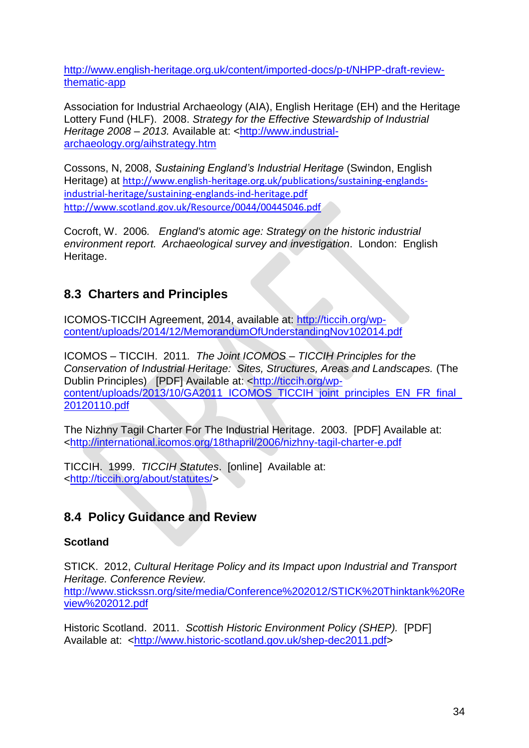[http://www.english-heritage.org.uk/content/imported-docs/p-t/NHPP-draft-review](http://www.english-heritage.org.uk/content/imported-docs/p-t/NHPP-draft-review-thematic-app)[thematic-app](http://www.english-heritage.org.uk/content/imported-docs/p-t/NHPP-draft-review-thematic-app)

Association for Industrial Archaeology (AIA), English Heritage (EH) and the Heritage Lottery Fund (HLF). 2008. *Strategy for the Effective Stewardship of Industrial Heritage 2008 – 2013.* Available at: [<http://www.industrial](http://www.industrial-archaeology.org/aihstrategy.htm)[archaeology.org/aihstrategy.htm](http://www.industrial-archaeology.org/aihstrategy.htm)

Cossons, N, 2008, *Sustaining England's Industrial Heritage* (Swindon, English Heritage) at [http://www.english-heritage.org.uk/publications/sustaining-englands](http://www.english-heritage.org.uk/publications/sustaining-englands-industrial-heritage/sustaining-englands-ind-heritage.pdf)[industrial-heritage/sustaining-englands-ind-heritage.pdf](http://www.english-heritage.org.uk/publications/sustaining-englands-industrial-heritage/sustaining-englands-ind-heritage.pdf) <http://www.scotland.gov.uk/Resource/0044/00445046.pdf>

Cocroft, W. 2006*. England's atomic age: Strategy on the historic industrial environment report. Archaeological survey and investigation*. London: English Heritage.

## **8.3 Charters and Principles**

ICOMOS-TICCIH Agreement, 2014, available at: [http://ticcih.org/wp](http://ticcih.org/wp-content/uploads/2014/12/MemorandumOfUnderstandingNov102014.pdf)[content/uploads/2014/12/MemorandumOfUnderstandingNov102014.pdf](http://ticcih.org/wp-content/uploads/2014/12/MemorandumOfUnderstandingNov102014.pdf)

ICOMOS – TICCIH. 2011*. The Joint ICOMOS – TICCIH Principles for the Conservation of Industrial Heritage: Sites, Structures, Areas and Landscapes.* (The Dublin Principles) [PDF] Available at: [<http://ticcih.org/wp](http://ticcih.org/wp-content/uploads/2013/10/GA2011_ICOMOS_TICCIH_joint_principles_EN_FR_final_20120110.pdf)content/uploads/2013/10/GA2011\_ICOMOS\_TICCIH\_joint\_principles\_EN\_FR\_final [20120110.pdf](http://ticcih.org/wp-content/uploads/2013/10/GA2011_ICOMOS_TICCIH_joint_principles_EN_FR_final_20120110.pdf)

The Nizhny Tagil Charter For The Industrial Heritage. 2003. [PDF] Available at: [<http://international.icomos.org/18thapril/2006/nizhny-tagil-charter-e.pdf](http://international.icomos.org/18thapril/2006/nizhny-tagil-charter-e.pdf)

TICCIH. 1999. *TICCIH Statutes*. [online] Available at: [<http://ticcih.org/about/statutes/>](http://ticcih.org/about/statutes/)

# **8.4 Policy Guidance and Review**

## **Scotland**

STICK. 2012, *Cultural Heritage Policy and its Impact upon Industrial and Transport Heritage. Conference Review.*  [http://www.stickssn.org/site/media/Conference%202012/STICK%20Thinktank%20Re](http://www.stickssn.org/site/media/Conference%202012/STICK%20Thinktank%20Review%202012.pdf) [view%202012.pdf](http://www.stickssn.org/site/media/Conference%202012/STICK%20Thinktank%20Review%202012.pdf)

Historic Scotland. 2011. *Scottish Historic Environment Policy (SHEP).* [PDF] Available at: [<http://www.historic-scotland.gov.uk/shep-dec2011.pdf>](http://www.historic-scotland.gov.uk/shep-dec2011.pdf)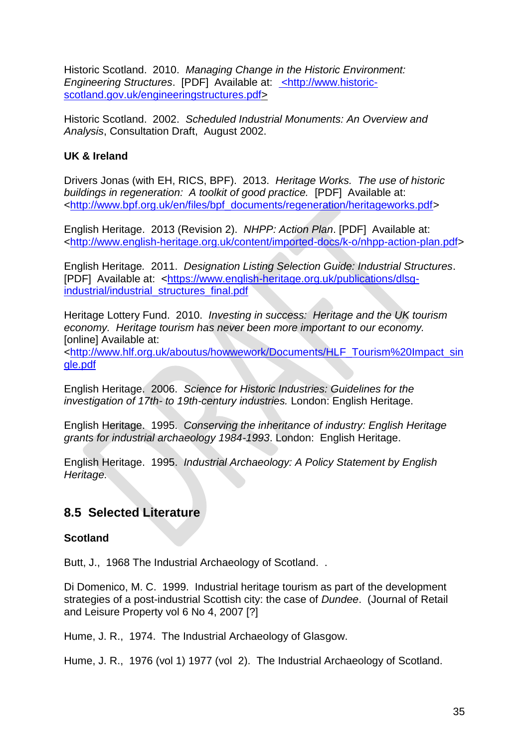Historic Scotland. 2010. *Managing Change in the Historic Environment: Engineering Structures*. [PDF] Available at: **[<http://www.historic](%3chttp:/www.historic-scotland.gov.uk/engineeringstructures.pdf)**[scotland.gov.uk/engineeringstructures.pdf>](%3chttp:/www.historic-scotland.gov.uk/engineeringstructures.pdf)

Historic Scotland. 2002. *Scheduled Industrial Monuments: An Overview and Analysis*, Consultation Draft, August 2002.

### **UK & Ireland**

Drivers Jonas (with EH, RICS, BPF). 2013. *Heritage Works. The use of historic buildings in regeneration: A toolkit of good practice.* [PDF] Available at: [<http://www.bpf.org.uk/en/files/bpf\\_documents/regeneration/heritageworks.pdf>](http://www.bpf.org.uk/en/files/bpf_documents/regeneration/heritageworks.pdf)

English Heritage. 2013 (Revision 2). *NHPP: Action Plan*. [PDF] Available at: [<http://www.english-heritage.org.uk/content/imported-docs/k-o/nhpp-action-plan.pdf>](http://www.english-heritage.org.uk/content/imported-docs/k-o/nhpp-action-plan.pdf)

English Heritage*.* 2011. *Designation Listing Selection Guide: Industrial Structures*. [PDF] Available at: [<https://www.english-heritage.org.uk/publications/dlsg](https://www.english-heritage.org.uk/publications/dlsg-industrial/industrial_structures_final.pdf)[industrial/industrial\\_structures\\_final.pdf](https://www.english-heritage.org.uk/publications/dlsg-industrial/industrial_structures_final.pdf)

Heritage Lottery Fund. 2010. *Investing in success: Heritage and the UK tourism economy. Heritage tourism has never been more important to our economy.* [online] Available at:

[<http://www.hlf.org.uk/aboutus/howwework/Documents/HLF\\_Tourism%20Impact\\_sin](http://www.hlf.org.uk/aboutus/howwework/Documents/HLF_Tourism%20Impact_single.pdf) [gle.pdf](http://www.hlf.org.uk/aboutus/howwework/Documents/HLF_Tourism%20Impact_single.pdf)

English Heritage. 2006. *Science for Historic Industries: Guidelines for the investigation of 17th- to 19th-century industries.* London: English Heritage.

English Heritage. 1995. *Conserving the inheritance of industry: English Heritage grants for industrial archaeology 1984-1993*. London: English Heritage.

English Heritage. 1995. *Industrial Archaeology: A Policy Statement by English Heritage.*

## **8.5 Selected Literature**

### **Scotland**

Butt, J., 1968 The Industrial Archaeology of Scotland. .

Di Domenico, M. C. 1999. Industrial heritage tourism as part of the development strategies of a post-industrial Scottish city: the case of *Dundee*. (Journal of Retail and Leisure Property vol 6 No 4, 2007 [?]

Hume, J. R., 1974. The Industrial Archaeology of Glasgow.

Hume, J. R., 1976 (vol 1) 1977 (vol 2). The Industrial Archaeology of Scotland.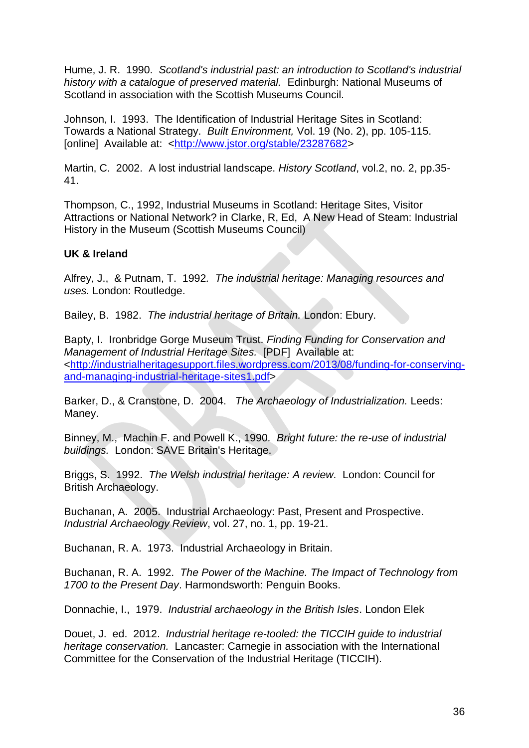Hume, J. R. 1990. *Scotland's industrial past: an introduction to Scotland's industrial history with a catalogue of preserved material.* Edinburgh: National Museums of Scotland in association with the Scottish Museums Council.

Johnson, I. 1993. The Identification of Industrial Heritage Sites in Scotland: Towards a National Strategy. *Built Environment,* Vol. 19 (No. 2), pp. 105-115. [online] Available at: [<http://www.jstor.org/stable/23287682>](http://www.jstor.org/stable/23287682)

Martin, C. 2002. A lost industrial landscape. *History Scotland*, vol.2, no. 2, pp.35- 41.

Thompson, C., 1992, Industrial Museums in Scotland: Heritage Sites, Visitor Attractions or National Network? in Clarke, R, Ed, A New Head of Steam: Industrial History in the Museum (Scottish Museums Council)

#### **UK & Ireland**

Alfrey, J., & Putnam, T. 1992*. The industrial heritage: Managing resources and uses.* London: Routledge.

Bailey, B. 1982. *The industrial heritage of Britain.* London: Ebury.

Bapty, I. Ironbridge Gorge Museum Trust. *Finding Funding for Conservation and Management of Industrial Heritage Sites.* [PDF] Available at: [<http://industrialheritagesupport.files.wordpress.com/2013/08/funding-for-conserving](http://industrialheritagesupport.files.wordpress.com/2013/08/funding-for-conserving-and-managing-industrial-heritage-sites1.pdf)[and-managing-industrial-heritage-sites1.pdf>](http://industrialheritagesupport.files.wordpress.com/2013/08/funding-for-conserving-and-managing-industrial-heritage-sites1.pdf)

Barker, D., & Cranstone, D. 2004. *The Archaeology of Industrialization.* Leeds: Maney.

Binney, M., Machin F. and Powell K., 1990*. Bright future: the re-use of industrial buildings.* London: SAVE Britain's Heritage.

Briggs, S. 1992. *The Welsh industrial heritage: A review.* London: Council for British Archaeology.

Buchanan, A. 2005. Industrial Archaeology: Past, Present and Prospective. *Industrial Archaeology Review*, vol. 27, no. 1, pp. 19-21.

Buchanan, R. A. 1973. Industrial Archaeology in Britain.

Buchanan, R. A. 1992. *The Power of the Machine. The Impact of Technology from 1700 to the Present Day*. Harmondsworth: Penguin Books.

Donnachie, I., 1979. *Industrial archaeology in the British Isles*. London Elek

Douet, J. ed. 2012. *Industrial heritage re-tooled: the TICCIH guide to industrial heritage conservation.* Lancaster: Carnegie in association with the International Committee for the Conservation of the Industrial Heritage (TICCIH).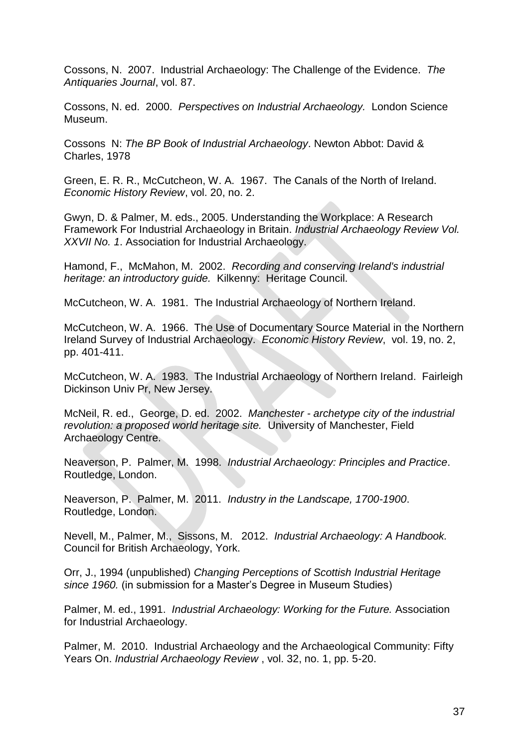Cossons, N. 2007. Industrial Archaeology: The Challenge of the Evidence. *The Antiquaries Journal*, vol. 87.

Cossons, N. ed. 2000. *Perspectives on Industrial Archaeology.* London Science Museum.

Cossons N: *The BP Book of Industrial Archaeology*. Newton Abbot: David & Charles, 1978

Green, E. R. R., McCutcheon, W. A. 1967. The Canals of the North of Ireland. *Economic History Review*, vol. 20, no. 2.

Gwyn, D. & Palmer, M. eds., 2005. Understanding the Workplace: A Research Framework For Industrial Archaeology in Britain. *Industrial Archaeology Review Vol. XXVII No. 1*. Association for Industrial Archaeology.

Hamond, F., McMahon, M. 2002. *Recording and conserving Ireland's industrial heritage: an introductory guide.* Kilkenny: Heritage Council.

McCutcheon, W. A. 1981. The Industrial Archaeology of Northern Ireland*.* 

McCutcheon, W. A. 1966. The Use of Documentary Source Material in the Northern Ireland Survey of Industrial Archaeology. *Economic History Review*, vol. 19, no. 2, pp. 401-411.

McCutcheon, W. A. 1983. The Industrial Archaeology of Northern Ireland. Fairleigh Dickinson Univ Pr, New Jersey.

McNeil, R. ed., George, D. ed. 2002. *Manchester - archetype city of the industrial revolution: a proposed world heritage site.* University of Manchester, Field Archaeology Centre.

Neaverson, P. Palmer, M. 1998. *Industrial Archaeology: Principles and Practice*. Routledge, London.

Neaverson, P. Palmer, M. 2011. *Industry in the Landscape, 1700-1900*. Routledge, London.

Nevell, M., Palmer, M., Sissons, M. 2012. *Industrial Archaeology: A Handbook.* Council for British Archaeology, York.

Orr, J., 1994 (unpublished) *Changing Perceptions of Scottish Industrial Heritage since 1960.* (in submission for a Master's Degree in Museum Studies)

Palmer, M. ed., 1991. *Industrial Archaeology: Working for the Future.* Association for Industrial Archaeology.

Palmer, M. 2010. Industrial Archaeology and the Archaeological Community: Fifty Years On. *Industrial Archaeology Review* , vol. 32, no. 1, pp. 5-20.